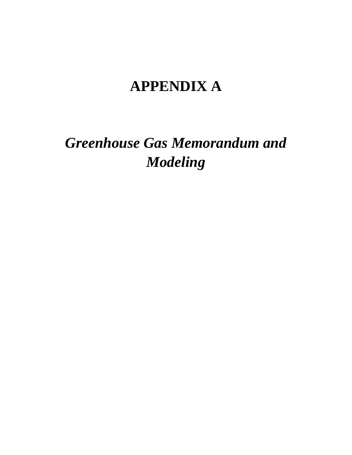# **APPENDIX A**

*Greenhouse Gas Memorandum and Modeling*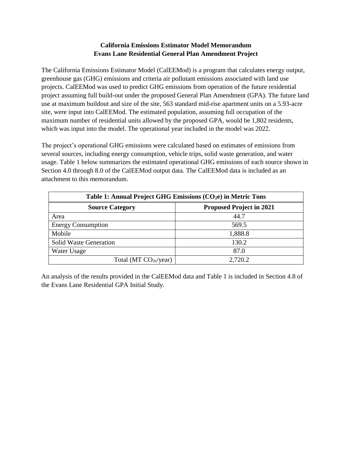#### **California Emissions Estimator Model Memorandum Evans Lane Residential General Plan Amendment Project**

The California Emissions Estimator Model (CalEEMod) is a program that calculates energy output, greenhouse gas (GHG) emissions and criteria air pollutant emissions associated with land use projects. CalEEMod was used to predict GHG emissions from operation of the future residential project assuming full build-out under the proposed General Plan Amendment (GPA). The future land use at maximum buildout and size of the site, 563 standard mid-rise apartment units on a 5.93-acre site, were input into CalEEMod. The estimated population, assuming full occupation of the maximum number of residential units allowed by the proposed GPA, would be 1,802 residents, which was input into the model. The operational year included in the model was 2022.

The project's operational GHG emissions were calculated based on estimates of emissions from several sources, including energy consumption, vehicle trips, solid waste generation, and water usage. Table 1 below summarizes the estimated operational GHG emissions of each source shown in Section 4.0 through 8.0 of the CalEEMod output data. The CalEEMod data is included as an attachment to this memorandum.

| Table 1: Annual Project GHG Emissions $(CO2e)$ in Metric Tons |                                 |  |  |  |  |  |  |  |  |
|---------------------------------------------------------------|---------------------------------|--|--|--|--|--|--|--|--|
| <b>Source Category</b>                                        | <b>Proposed Project in 2021</b> |  |  |  |  |  |  |  |  |
| Area                                                          | 44.7                            |  |  |  |  |  |  |  |  |
| <b>Energy Consumption</b>                                     | 569.5                           |  |  |  |  |  |  |  |  |
| Mobile                                                        | 1,888.8                         |  |  |  |  |  |  |  |  |
| Solid Waste Generation                                        | 130.2                           |  |  |  |  |  |  |  |  |
| Water Usage                                                   | 87.0                            |  |  |  |  |  |  |  |  |
| Total (MT $CO2e/year$ )                                       | 2,720.2                         |  |  |  |  |  |  |  |  |

An analysis of the results provided in the CalEEMod data and Table 1 is included in Section 4.8 of the Evans Lane Residential GPA Initial Study.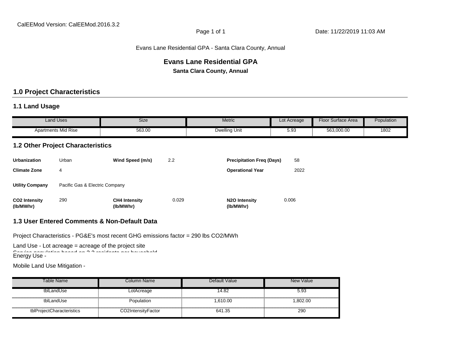#### Evans Lane Residential GPA - Santa Clara County, Annual

# **Evans Lane Residential GPA**

**Santa Clara County, Annual**

#### **1.0 Project Characteristics**

#### **1.1 Land Usage**

| Land Uses                  | Size   | Metric        | Lot Acreage  | Floor<br><sup>r</sup> Surface Area | <b>Population</b> |
|----------------------------|--------|---------------|--------------|------------------------------------|-------------------|
| <b>Apartments Mid Rise</b> | 563.00 | Dwelling Unit | - ሰላ<br>ບ.ວເ | 563.000.00                         | 1802              |

#### **1.2 Other Project Characteristics**

| <b>Urbanization</b>               | Urban                          | Wind Speed (m/s)                  | 2.2   | <b>Precipitation Freg (Days)</b>        | 58    |
|-----------------------------------|--------------------------------|-----------------------------------|-------|-----------------------------------------|-------|
| <b>Climate Zone</b>               | 4                              |                                   |       | <b>Operational Year</b>                 | 2022  |
| <b>Utility Company</b>            | Pacific Gas & Electric Company |                                   |       |                                         |       |
| <b>CO2</b> Intensity<br>(lb/MWhr) | 290                            | <b>CH4 Intensity</b><br>(lb/MWhr) | 0.029 | N <sub>2</sub> O Intensity<br>(lb/MWhr) | 0.006 |

#### **1.3 User Entered Comments & Non-Default Data**

Project Characteristics - PG&E's most recent GHG emissions factor = 290 lbs CO2/MWh

Land Use - Lot acreage = acreage of the project site Service population based on 3.2 residents per household Energy Use -

Mobile Land Use Mitigation -

| Table Name                | Column Name        | Default Value | New Value |
|---------------------------|--------------------|---------------|-----------|
| tblLandUse                | LotAcreage         | 14.82         | 5.93      |
| tblLandUse                | Population         | 1.610.00      | 1,802.00  |
| tblProjectCharacteristics | CO2IntensityFactor | 641.35        | 290       |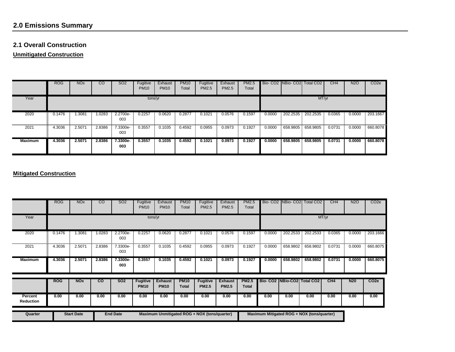# **2.0 Emissions Summary**

#### **2.1 Overall Construction**

**Unmitigated Construction**

|                | <b>ROG</b> | <b>NO<sub>x</sub></b> | CO     | SO <sub>2</sub> | Fugitive<br><b>PM10</b> | Exhaust<br><b>PM10</b> | <b>PM10</b><br>Total | Fugitive<br>PM2.5 | Exhaust<br>PM2.5 | <b>PM2.5</b><br>Total |        |          | Bio-CO2 NBio-CO2 Total CO2 | CH4    | N2O    | CO <sub>2e</sub> |
|----------------|------------|-----------------------|--------|-----------------|-------------------------|------------------------|----------------------|-------------------|------------------|-----------------------|--------|----------|----------------------------|--------|--------|------------------|
| Year           |            |                       |        |                 | tons/yr                 |                        |                      |                   |                  |                       |        |          | MT/yr                      |        |        |                  |
| 2020           | 0.1476     | .3081                 | 1.0283 | 2.2700e-<br>003 | 0.2257                  | 0.0620                 | 0.2877               | 0.1021            | 0.0576           | 0.1597                | 0.0000 | 202.2535 | 202.2535                   | 0.0365 | 0.0000 | 203.1667         |
| 2021           | 4.3036     | 2.5071                | 2.8386 | 7.3300e-<br>003 | 0.3557                  | 0.1035                 | 0.4592               | 0.0955            | 0.0973           | 0.1927                | 0.0000 | 658.9805 | 658.9805                   | 0.0731 | 0.0000 | 660.8078         |
| <b>Maximum</b> | 4.3036     | 2.5071                | 2.8386 | 7.3300e-<br>003 | 0.3557                  | 0.1035                 | 0.4592               | 0.1021            | 0.0973           | 0.1927                | 0.0000 | 658.9805 | 658.9805                   | 0.0731 | 0.0000 | 660,8078         |

#### **Mitigated Construction**

|                      | <b>ROG</b> | <b>NO<sub>x</sub></b> | $\overline{c}$ | <b>SO2</b>      | Fugitive<br><b>PM10</b>        | Exhaust<br><b>PM10</b>        | <b>PM10</b><br>Total        | Fugitive<br>PM2.5                            | Exhaust<br>PM2.5               | <b>PM2.5</b><br>Total |                                            | Bio- CO2 NBio- CO2 | <b>Total CO2</b> | CH4    | <b>N2O</b> | CO <sub>2</sub> e |
|----------------------|------------|-----------------------|----------------|-----------------|--------------------------------|-------------------------------|-----------------------------|----------------------------------------------|--------------------------------|-----------------------|--------------------------------------------|--------------------|------------------|--------|------------|-------------------|
| Year                 |            |                       |                |                 | tons/yr                        |                               |                             |                                              |                                |                       |                                            |                    |                  | MT/yr  |            |                   |
| 2020                 | 0.1476     | 1.3081                | 1.0283         | 2.2700e-<br>003 | 0.2257                         | 0.0620                        | 0.2877                      | 0.1021                                       | 0.0576                         | 0.1597                | 0.0000                                     | 202.2533           | 202.2533         | 0.0365 | 0.0000     | 203.1666          |
| 2021                 | 4.3036     | 2.5071                | 2.8386         | 7.3300e-<br>003 | 0.3557                         | 0.1035                        | 0.4592                      | 0.0955                                       | 0.0973                         | 0.1927                | 0.0000                                     | 658.9802           | 658.9802         | 0.0731 | 0.0000     | 660.8075          |
| <b>Maximum</b>       | 4.3036     | 2.5071                | 2.8386         | 7.3300e-<br>003 | 0.3557                         | 0.1035                        | 0.4592                      | 0.1021                                       | 0.0973                         | 0.1927                | 0.0000                                     | 658.9802           | 658.9802         | 0.0731 | 0.0000     | 660.8075          |
|                      | <b>ROG</b> | <b>NOx</b>            | <b>CO</b>      | <b>SO2</b>      | <b>Fugitive</b><br><b>PM10</b> | <b>Exhaust</b><br><b>PM10</b> | <b>PM10</b><br><b>Total</b> | <b>Fugitive</b><br><b>PM2.5</b>              | <b>Exhaust</b><br><b>PM2.5</b> | <b>PM2.5</b><br>Total | Bio- CO2   NBio-CO2   Total CO2            |                    |                  | CH4    | <b>N20</b> | CO <sub>2e</sub>  |
| Percent<br>Reduction | 0.00       | 0.00                  | 0.00           | 0.00            | 0.00                           | 0.00                          | 0.00                        | 0.00                                         | 0.00                           | 0.00                  | 0.00                                       | 0.00               | 0.00             | 0.00   | 0.00       | 0.00              |
| Quarter              |            | <b>Start Date</b>     |                | <b>End Date</b> |                                |                               |                             | Maximum Unmitigated ROG + NOX (tons/quarter) |                                |                       | Maximum Mitigated ROG + NOX (tons/quarter) |                    |                  |        |            |                   |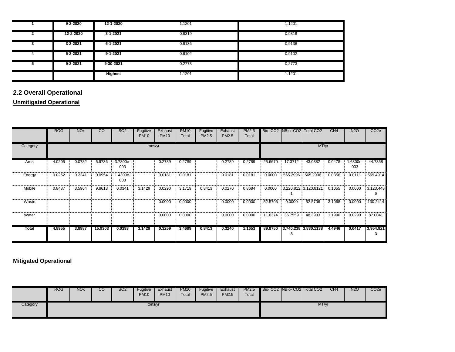|   | $9 - 2 - 2020$ | 12-1-2020      | 1.1201 | 1.1201 |
|---|----------------|----------------|--------|--------|
|   | 12-2-2020      | $3 - 1 - 2021$ | 0.9319 | 0.9319 |
| 3 | $3 - 2 - 2021$ | $6 - 1 - 2021$ | 0.9136 | 0.9136 |
|   | $6 - 2 - 2021$ | $9 - 1 - 2021$ | 0.9102 | 0.9102 |
|   | $9 - 2 - 2021$ | 9-30-2021      | 0.2773 | 0.2773 |
|   |                | <b>Highest</b> | 1.1201 | 1.1201 |

# **2.2 Overall Operational**

#### **Unmitigated Operational**

|          | <b>ROG</b> | <b>NO<sub>x</sub></b> | $\overline{c}$ | SO <sub>2</sub> | Fugitive<br><b>PM10</b> | Exhaust<br><b>PM10</b> | <b>PM10</b><br>Total | Fugitive<br>PM2.5 | Exhaust<br>PM2.5 | PM2.5<br>Total |         | Bio- CO2 NBio- CO2 Total CO2 |                      | CH <sub>4</sub> | N <sub>2</sub> O | CO <sub>2</sub> e |
|----------|------------|-----------------------|----------------|-----------------|-------------------------|------------------------|----------------------|-------------------|------------------|----------------|---------|------------------------------|----------------------|-----------------|------------------|-------------------|
| Category |            |                       |                |                 | tons/yr                 |                        |                      |                   |                  |                | MT/yr   |                              |                      |                 |                  |                   |
| Area     | 4.0205     | 0.0782                | 5.9736         | 3.7800e-<br>003 |                         | 0.2789                 | 0.2789               |                   | 0.2789           | 0.2789         | 25.6670 | 17.3712                      | 43.0382              | 0.0478          | 1.6800e-<br>003  | 44.7358           |
| Energy   | 0.0262     | 0.2241                | 0.0954         | 1.4300e-<br>003 |                         | 0.0181                 | 0.0181               |                   | 0.0181           | 0.0181         | 0.0000  | 565.2996                     | 565.2996             | 0.0356          | 0.0111           | 569.4914          |
| Mobile   | 0.8487     | 3.5964                | 9.8613         | 0.0341          | 3.1429                  | 0.0290                 | 3.1719               | 0.8413            | 0.0270           | 0.8684         | 0.0000  | 3,120.812 3,120.8121         |                      | 0.1055          | 0.0000           | 3,123.448<br>-6   |
| Waste    |            |                       |                |                 |                         | 0.0000                 | 0.0000               |                   | 0.0000           | 0.0000         | 52.5706 | 0.0000                       | 52.5706              | 3.1068          | 0.0000           | 130.2414          |
| Water    |            |                       |                |                 |                         | 0.0000                 | 0.0000               |                   | 0.0000           | 0.0000         | 11.6374 | 36.7559                      | 48.3933              | 1.1990          | 0.0290           | 87.0041           |
| Total    | 4.8955     | 3.8987                | 15.9303        | 0.0393          | 3.1429                  | 0.3259                 | 3.4689               | 0.8413            | 0.3240           | 1.1653         | 89.8750 |                              | 3,740.238 3,830.1138 | 4.4946          | 0.0417           | 3,954.921<br>3    |

#### **Mitigated Operational**

|          | <b>ROG</b> | <b>NO<sub>x</sub></b> | ״<br>◡◡ | SO <sub>2</sub> | Fugitive<br><b>PM10</b> | Exhaust<br><b>PM10</b> | <b>PM10</b><br>Total | Fugitive<br>PM2.5 | Exhaust<br>PM2.5 | <b>PM2.5</b><br>Total |  | Bio-CO2 NBio-CO2 Total CO2 | CH <sub>4</sub> | <b>N2O</b> | CO <sub>2e</sub> |
|----------|------------|-----------------------|---------|-----------------|-------------------------|------------------------|----------------------|-------------------|------------------|-----------------------|--|----------------------------|-----------------|------------|------------------|
| Category |            |                       |         |                 | tons/yr                 |                        |                      |                   |                  |                       |  | MT/yr                      |                 |            |                  |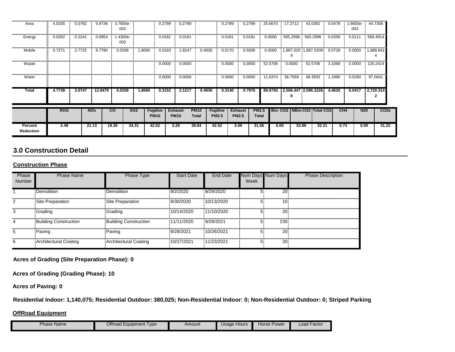| Area                        | 4.0205     | 0.0782 | 5.9736     | 3.7800e-<br>003 |            | 0.2789                         | 0.2789                        |                             | 0.2789                          | 0.2789                         |                              | 25.6670 | 17.3712  | 43.0382                         | 0.0478 | 1.6800e-<br>003 | 44.7358                        |
|-----------------------------|------------|--------|------------|-----------------|------------|--------------------------------|-------------------------------|-----------------------------|---------------------------------|--------------------------------|------------------------------|---------|----------|---------------------------------|--------|-----------------|--------------------------------|
| Energy                      | 0.0262     | 0.2241 | 0.0954     | 1.4300e-<br>003 |            | 0.0181                         | 0.0181                        |                             | 0.0181                          | 0.0181                         |                              | 0.0000  | 565.2996 | 565.2996                        | 0.0356 | 0.0111          | 569.4914                       |
| Mobile                      | 0.7271     | 2.7725 | 6.7780     | 0.0206          | 1.8065     | 0.0183                         | 1.8247                        | 0.4836                      | 0.0170                          | 0.5006                         |                              | 0.0000  |          | 1,887.020 1,887.0209            | 0.0728 | 0.0000          | 1,888.841                      |
| Waste                       |            |        |            |                 |            | 0.0000                         | 0.0000                        |                             | 0.0000                          | 0.0000                         |                              | 52.5706 | 0.0000   | 52.5706                         | 3.1068 | 0.0000          | 130.2414                       |
| Water                       |            |        |            |                 |            | 0.0000                         | 0.0000                        |                             | 0.0000                          | 0.0000                         |                              | 11.6374 | 36.7559  | 48.3933                         | 1.1990 | 0.0290          | 87.0041                        |
| Total                       | 4.7738     | 3.0747 | 12,8470    | 0.0258          | 1.8065     | 0.3152                         | 2.1217                        | 0.4836                      | 0.3140                          | 0.7976                         |                              | 89.8750 | 6        | 2,506.447 2,596.3226            | 4.4620 | 0.0417          | 2,720.314                      |
|                             | <b>ROG</b> |        | <b>NOx</b> | $\overline{c}$  | <b>SO2</b> | <b>Fugitive</b><br><b>PM10</b> | <b>Exhaust</b><br><b>PM10</b> | <b>PM10</b><br><b>Total</b> | <b>Fugitive</b><br><b>PM2.5</b> | <b>Exhaust</b><br><b>PM2.5</b> | <b>PM2.5</b><br><b>Total</b> |         |          | Bio- CO2   NBio-CO2   Total CO2 |        | CH <sub>4</sub> | CO <sub>2e</sub><br><b>N20</b> |
| Percent<br><b>Reduction</b> | 2.49       |        | 21.13      | 19.35           | 34.31      | 42.52                          | 3.28                          | 38.84                       | 42.52                           | 3.09                           | 31.56                        | 0.00    | 32.99    | 32.21                           |        | 0.73<br>0.00    | 31.22                          |

### **3.0 Construction Detail**

#### **Construction Phase**

| Phase<br><b>Number</b> | <b>Phase Name</b>            | Phase Type                   | <b>Start Date</b> | End Date   | Num Days Num Days<br>Week |                 | <b>Phase Description</b> |
|------------------------|------------------------------|------------------------------|-------------------|------------|---------------------------|-----------------|--------------------------|
|                        | <b>Demolition</b>            | Demolition                   | 9/2/2020          | 9/29/2020  | 5.                        | $\overline{20}$ |                          |
| 2                      | Site Preparation             | Site Preparation             | 9/30/2020         | 10/13/2020 | 5                         | 10 <sup>3</sup> |                          |
| 3                      | <b>Grading</b>               | <b>Grading</b>               | 10/14/2020        | 11/10/2020 | 5.                        | $20^{\circ}$    |                          |
| 4                      | <b>Building Construction</b> | <b>Building Construction</b> | 11/11/2020        | 9/28/2021  | 51                        | 230             |                          |
| 5                      | Paving                       | Paving                       | 9/29/2021         | 10/26/2021 | 5.                        | 20 <sup>3</sup> |                          |
| 6                      | Architectural Coating        | Architectural Coating        | 10/27/2021        | 11/23/2021 |                           | 20 <sup>3</sup> |                          |

**Acres of Grading (Site Preparation Phase): 0**

**Acres of Grading (Grading Phase): 10**

**Acres of Paving: 0**

**Residential Indoor: 1,140,075; Residential Outdoor: 380,025; Non-Residential Indoor: 0; Non-Residential Outdoor: 0; Striped Parking** 

#### **OffRoad Equipment**

| Offroad Equipment<br><b>Phase Name</b><br>Type | Amount | 'Jsage Hours | Horse Power | Factor<br>_oad |
|------------------------------------------------|--------|--------------|-------------|----------------|
|------------------------------------------------|--------|--------------|-------------|----------------|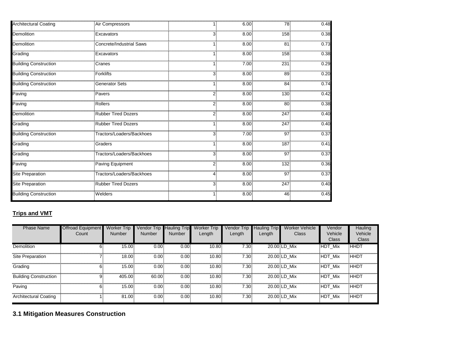| <b>Architectural Coating</b> | Air Compressors                 | 11          | 6.00 | 78                   | 0.48 |
|------------------------------|---------------------------------|-------------|------|----------------------|------|
| Demolition                   | Excavators                      | 3.          | 8.00 | 158                  | 0.38 |
| Demolition                   | <b>Concrete/Industrial Saws</b> |             | 8.00 | 81 <sup>3</sup>      | 0.73 |
| Grading                      | Excavators                      |             | 8.00 | 158                  | 0.38 |
| <b>Building Construction</b> | Cranes                          |             | 7.00 | 231                  | 0.29 |
| <b>Building Construction</b> | <b>Forklifts</b>                | 3.          | 8.00 | 89                   | 0.20 |
| <b>Building Construction</b> | <b>Generator Sets</b>           |             | 8.00 | <br>84               | 0.74 |
| Paving                       | Pavers                          |             | 8.00 | 130 <sup>3</sup>     | 0.42 |
| Paving                       | <b>Rollers</b>                  |             | 8.00 | 80 <sup>3</sup>      | 0.38 |
| Demolition                   | <b>Rubber Tired Dozers</b>      |             | 8.00 | 247                  | 0.40 |
| Grading                      | <b>Rubber Tired Dozers</b>      | 11          | 8.00 | 247                  | 0.40 |
| <b>Building Construction</b> | Tractors/Loaders/Backhoes       | 3.          | 7.00 | 97                   | 0.37 |
| Grading                      | Graders                         | 11          | 8.00 | 187 <sup>3</sup>     | 0.41 |
| Grading                      | Tractors/Loaders/Backhoes       | 3           | 8.00 | $97^{\frac{1}{2}}$   | 0.37 |
| Paving                       | Paving Equipment                | $2^{\circ}$ | 8.00 | 132                  | 0.36 |
| <b>Site Preparation</b>      | Tractors/Loaders/Backhoes       | 4           | 8.00 | $97^{\frac{1}{2}}$   | 0.37 |
| Site Preparation             | <b>Rubber Tired Dozers</b>      | 3.          | 8.00 | ,,,,,,,,,,,,,<br>247 | 0.40 |
| <b>Building Construction</b> | Welders                         |             | 8.00 | 46                   | 0.45 |

# **Trips and VMT**

| <b>Phase Name</b>            | Offroad Equipment<br>Count | <b>Worker Trip</b><br><b>Number</b> | Vendor Trip<br><b>Number</b> | <b>Hauling Trip</b><br><b>Number</b> | <b>Worker Trip</b><br>Length | <b>Vendor Trip</b><br>Length | <b>Hauling Trip</b><br>Length | <b>Worker Vehicle</b><br>Class | Vendor<br>Vehicle<br><b>Class</b> | Hauling<br>Vehicle<br><b>Class</b> |
|------------------------------|----------------------------|-------------------------------------|------------------------------|--------------------------------------|------------------------------|------------------------------|-------------------------------|--------------------------------|-----------------------------------|------------------------------------|
| <b>Demolition</b>            | 6.                         | 15.00                               | 0.00                         | 0.00                                 | 10.80                        | 7.30 <sup>1</sup>            |                               | 20.00 LD Mix                   | <b>HDT Mix</b>                    | <b>HHDT</b>                        |
| Site Preparation             |                            | 18.00                               | 0.001                        | 0.00                                 | 10.80                        | 7.30 <sub>1</sub>            |                               | 20.00 LD Mix                   | HDT Mix                           | <b>HHDT</b>                        |
| Grading                      | 6!                         | 15.00                               | 0.00                         | 0.00                                 | 10.80                        | 7.30 <sup>1</sup>            |                               | 20.00 LD Mix                   | HDT Mix                           | <b>HHDT</b>                        |
| <b>Building Construction</b> | 9.                         | 405.00                              | 60.00                        | 0.00                                 | 10.80                        | 7.30                         |                               | 20.00 LD Mix                   | HDT Mix                           | HHDT                               |
| Paving                       | 6.                         | 15.00                               | 0.00                         | 0.00                                 | 10.80                        | 7.30 <sup>1</sup>            |                               | 20.00 LD Mix                   | HDT Mix                           | HHDT                               |
| Architectural Coating        |                            | 81.00                               | 0.00                         | 0.00                                 | 10.80                        | 7.30                         |                               | 20.00 LD Mix                   | HDT Mix                           | <b>HHDT</b>                        |

**3.1 Mitigation Measures Construction**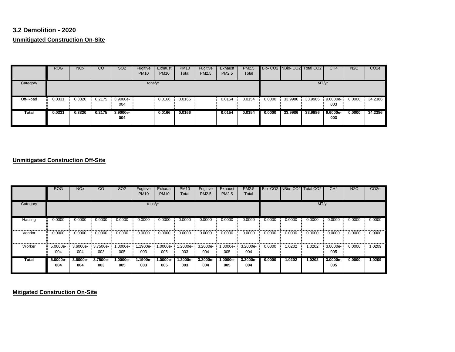## **3.2 Demolition - 2020 Unmitigated Construction On-Site**

|          | <b>ROG</b> | <b>NO<sub>x</sub></b> | CO     | <b>SO2</b>      | Fugitive<br><b>PM10</b> | Exhaust<br><b>PM10</b> | <b>PM10</b><br>Total | Fugitive<br>PM2.5 | Exhaust<br>PM2.5 | <b>PM2.5</b><br>Total |        |         | Bio-CO2 NBio-CO2 Total CO2 | CH4                | <b>N2O</b> | CO <sub>2</sub> e |
|----------|------------|-----------------------|--------|-----------------|-------------------------|------------------------|----------------------|-------------------|------------------|-----------------------|--------|---------|----------------------------|--------------------|------------|-------------------|
| Category |            |                       |        |                 | tons/yr                 |                        |                      |                   |                  |                       |        |         | MT/yr                      |                    |            |                   |
| Off-Road | 0.0331     | 0.3320                | 0.2175 | 3.9000e-<br>004 |                         | 0.0166                 | 0.0166               |                   | 0.0154           | 0.0154                | 0.0000 | 33.9986 | 33.9986                    | 9.6000e-<br>003    | 0.0000     | 34.2386           |
| Total    | 0.0331     | 0.3320                | 0.2175 | 3.9000e-<br>004 |                         | 0.0166                 | 0.0166               |                   | 0.0154           | 0.0154                | 0.0000 | 33.9986 | 33.9986                    | $9.6000e -$<br>003 | 0.0000     | 34.2386           |

#### **Unmitigated Construction Off-Site**

|          | <b>ROG</b>      | <b>NO<sub>x</sub></b> | CO              | SO <sub>2</sub>   | Fugitive<br><b>PM10</b> | Exhaust<br><b>PM10</b> | <b>PM10</b><br>Total | Fugitive<br>PM2.5 | Exhaust<br>PM2.5 | <b>PM2.5</b><br>Total |        | Bio-CO2 INBio-CO2 | Total CO <sub>2</sub> | CH <sub>4</sub> | <b>N2O</b> | CO <sub>2e</sub> |
|----------|-----------------|-----------------------|-----------------|-------------------|-------------------------|------------------------|----------------------|-------------------|------------------|-----------------------|--------|-------------------|-----------------------|-----------------|------------|------------------|
| Category |                 |                       |                 |                   | tons/yr                 |                        |                      |                   |                  |                       |        |                   | MT/yr                 |                 |            |                  |
| Hauling  | 0.0000          | 0.0000                | 0.0000          | 0.0000            | 0.0000                  | 0.0000                 | 0.0000               | 0.0000            | 0.0000           | 0.0000                | 0.0000 | 0.0000            | 0.0000                | 0.0000          | 0.0000     | 0.0000           |
| Vendor   | 0.0000          | 0.0000                | 0.0000          | 0.0000            | 0.0000                  | 0.0000                 | 0.0000               | 0.0000            | 0.0000           | 0.0000                | 0.0000 | 0.0000            | 0.0000                | 0.0000          | 0.0000     | 0.0000           |
| Worker   | 5.0000e-<br>004 | 3.6000e-<br>004       | 3.7500e-<br>003 | 1.0000e-<br>005   | 1.1900e-<br>003         | 1.0000e-<br>005        | .2000e-<br>003       | 3.2000e-<br>004   | 1.0000e-<br>005  | 3.2000e-<br>004       | 0.0000 | 1.0202            | 1.0202                | 3.0000e-<br>005 | 0.0000     | 1.0209           |
| Total    | 5.0000e-<br>004 | 3.6000e-<br>004       | 3.7500e-<br>003 | $1.0000e-$<br>005 | 1.1900e-<br>003         | $1.0000e-$<br>005      | $.2000e-$<br>003     | 3.2000e-<br>004   | 1.0000e-<br>005  | 3.2000e-<br>004       | 0.0000 | 1.0202            | 1.0202                | 3.0000e-<br>005 | 0.0000     | 1.0209           |

**Mitigated Construction On-Site**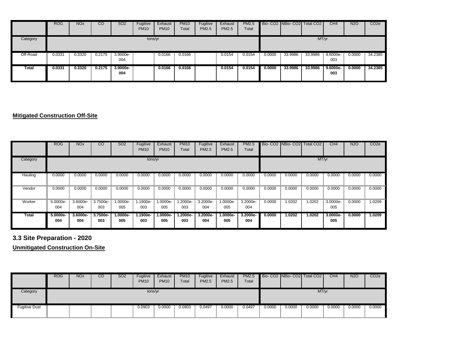|          | <b>ROG</b> | NO <sub>x</sub> | CO     | <b>SO2</b>      | Fugitive<br><b>PM10</b> | Exhaust<br><b>PM10</b> | <b>PM10</b><br>Total | Fugitive<br><b>PM2.5</b> | Exhaust<br>PM2.5 | <b>PM2.5</b><br>Total |        |         | Bio- CO2 NBio- CO2 Total CO2 | CH <sub>4</sub>   | <b>N2O</b> | CO <sub>2e</sub> |
|----------|------------|-----------------|--------|-----------------|-------------------------|------------------------|----------------------|--------------------------|------------------|-----------------------|--------|---------|------------------------------|-------------------|------------|------------------|
| Category |            |                 |        |                 | tons/yr                 |                        |                      |                          |                  |                       |        |         | MT/yr                        |                   |            |                  |
| Off-Road | 0.0331     | 0.3320          | 0.2175 | 3.9000e-<br>004 |                         | 0.0166                 | 0.0166               |                          | 0.0154           | 0.0154                | 0.0000 | 33.9986 | 33.9986                      | 9.6000e-<br>003   | 0.0000     | 34.2385          |
| Total    | 0.0331     | 0.3320          | 0.2175 | 3.9000e-<br>004 |                         | 0.0166                 | 0.0166               |                          | 0.0154           | 0.0154                | 0.0000 | 33.9986 | 33.9986                      | $9.6000e-$<br>003 | 0.0000     | 34.2385          |

#### **Mitigated Construction Off-Site**

|          | <b>ROG</b>      | <b>NO<sub>x</sub></b> | $\overline{c}$  | SO <sub>2</sub>   | Fugitive<br><b>PM10</b> | Exhaust<br><b>PM10</b> | <b>PM10</b><br>Total | Fugitive<br>PM2.5 | Exhaust<br>PM2.5  | <b>PM2.5</b><br>Total |        | Bio- CO2 INBio- CO2 Total CO2 |        | CH4             | <b>N2O</b> | CO <sub>2e</sub> |
|----------|-----------------|-----------------------|-----------------|-------------------|-------------------------|------------------------|----------------------|-------------------|-------------------|-----------------------|--------|-------------------------------|--------|-----------------|------------|------------------|
| Category |                 |                       |                 |                   | tons/yr                 |                        |                      |                   |                   |                       |        |                               | MT/yr  |                 |            |                  |
| Hauling  | 0.0000          | 0.0000                | 0.0000          | 0.0000            | 0.0000                  | 0.0000                 | 0.0000               | 0.0000            | 0.0000            | 0.0000                | 0.0000 | 0.0000                        | 0.0000 | 0.0000          | 0.0000     | 0.0000           |
| Vendor   | 0.0000          | 0.0000                | 0.0000          | 0.0000            | 0.0000                  | 0.0000                 | 0.0000               | 0.0000            | 0.0000            | 0.0000                | 0.0000 | 0.0000                        | 0.0000 | 0.0000          | 0.0000     | 0.0000           |
| Worker   | 5.0000e-<br>004 | 3.6000e-<br>004       | 3.7500e-<br>003 | -.0000e<br>005    | 1.1900e-<br>003         | $.0000e-$<br>005       | .2000e-<br>003       | 3.2000e-<br>004   | 1.0000e-<br>005   | 3.2000e-<br>004       | 0.0000 | 1.0202                        | 1.0202 | 3.0000e-<br>005 | 0.0000     | 1.0209           |
| Total    | 5.0000e-<br>004 | 3.6000e-<br>004       | 3.7500e-<br>003 | $1.0000e-$<br>005 | 1.1900e-<br>003         | $.0000e-$<br>005       | $.2000e-$<br>003     | 3.2000e-<br>004   | $1.0000e-$<br>005 | $3.2000e-$<br>004     | 0.0000 | 1.0202                        | 1.0202 | 3.0000e-<br>005 | 0.0000     | 1.0209           |

# **3.3 Site Preparation - 2020**

**Unmitigated Construction On-Site**

|                      | <b>ROG</b> | <b>NO<sub>x</sub></b> | CO | SO <sub>2</sub> | Fugitive<br><b>PM10</b> | Exhaust<br><b>PM10</b> | <b>PM10</b><br>Total | Fugitive<br>PM2.5 | Exhaust<br><b>PM2.5</b> | <b>PM2.5</b><br>Total |        |        | Bio-CO2 NBio-CO2 Total CO2 | CH4    | <b>N2O</b> | CO <sub>2</sub> e |
|----------------------|------------|-----------------------|----|-----------------|-------------------------|------------------------|----------------------|-------------------|-------------------------|-----------------------|--------|--------|----------------------------|--------|------------|-------------------|
| Category             |            |                       |    |                 | tons/yr                 |                        |                      |                   |                         |                       |        |        | MT/yr                      |        |            |                   |
| <b>Fugitive Dust</b> |            |                       |    |                 | 0.0903                  | 0.0000                 | 0.0903               | 0.0497            | 0.0000                  | 0.0497                | 0.0000 | 0.0000 | 0.0000                     | 0.0000 | 0.0000     | 0.0000            |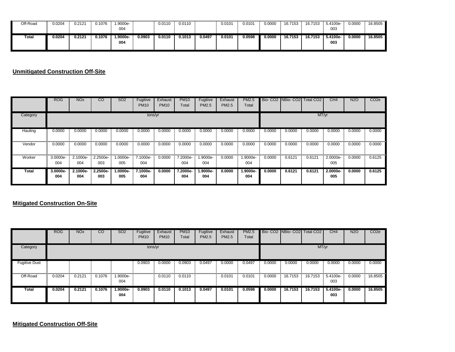| Off-Road | 0.204  | 0.2121 | 0.1076 | 1.9000e-   |        | 0.0110 | 0.0110 |        | 0.0101 | 0.0101 | 0.0000 | 16.7153 | 16.7153 | 5.4100e- | 0.0000 | 16.8505 |
|----------|--------|--------|--------|------------|--------|--------|--------|--------|--------|--------|--------|---------|---------|----------|--------|---------|
|          |        |        |        | 004        |        |        |        |        |        |        |        |         |         | 003      |        |         |
| Total    | 0.0204 | 0.2121 | 0.1076 | $1.9000e-$ |        |        |        |        |        |        |        |         |         |          |        |         |
|          |        |        |        |            | 0.0903 | 0.0110 | 0.1013 | 0.0497 | 0.0101 | 0.0598 | 0.0000 | 16.7153 | 16.7153 | 5.4100e- | 0.0000 | 16.8505 |
|          |        |        |        | 004        |        |        |        |        |        |        |        |         |         | 003      |        |         |

**Unmitigated Construction Off-Site**

|          | <b>ROG</b>      | <b>NO<sub>x</sub></b> | $\overline{\text{co}}$ | SO <sub>2</sub>   | Fugitive<br><b>PM10</b> | Exhaust<br><b>PM10</b> | <b>PM10</b><br>Total | Fugitive<br>PM2.5 | Exhaust<br><b>PM2.5</b> | <b>PM2.5</b><br>Total |        | Bio- CO <sub>2</sub> NBio- CO <sub>2</sub> | <b>Total CO2</b> | CH4             | <b>N2O</b> | CO <sub>2</sub> e |
|----------|-----------------|-----------------------|------------------------|-------------------|-------------------------|------------------------|----------------------|-------------------|-------------------------|-----------------------|--------|--------------------------------------------|------------------|-----------------|------------|-------------------|
| Category |                 |                       |                        |                   | tons/yr                 |                        |                      |                   |                         |                       |        |                                            | MT/yr            |                 |            |                   |
| Hauling  | 0.0000          | 0.0000                | 0.0000                 | 0.0000            | 0.0000                  | 0.0000                 | 0.0000               | 0.0000            | 0.0000                  | 0.0000                | 0.0000 | 0.0000                                     | 0.0000           | 0.0000          | 0.0000     | 0.0000            |
| Vendor   | 0.0000          | 0.0000                | 0.0000                 | 0.0000            | 0.0000                  | 0.0000                 | 0.0000               | 0.0000            | 0.0000                  | 0.0000                | 0.0000 | 0.0000                                     | 0.0000           | 0.0000          | 0.0000     | 0.0000            |
| Worker   | 3.0000e-<br>004 | 2.1000e-<br>004       | 2.2500e-<br>003        | 1.0000e-<br>005   | 7.1000e-<br>004         | 0.0000                 | 7.2000e-<br>004      | -.9000e<br>004    | 0.0000                  | 1.9000e-<br>004       | 0.0000 | 0.6121                                     | 0.6121           | 2.0000e-<br>005 | 0.0000     | 0.6125            |
| Total    | 3.0000e-<br>004 | 2.1000e-<br>004       | 2.2500e-<br>003        | $1.0000e-$<br>005 | 7.1000e-<br>004         | 0.0000                 | 7.2000e-<br>004      | -.9000e<br>004    | 0.0000                  | 1.9000e-<br>004       | 0.0000 | 0.6121                                     | 0.6121           | 2.0000e-<br>005 | 0.0000     | 0.6125            |

#### **Mitigated Construction On-Site**

|                      | <b>ROG</b> | <b>NO<sub>x</sub></b> | $\overline{c}$ | <b>SO2</b>      | Fugitive<br><b>PM10</b> | Exhaust<br><b>PM10</b> | <b>PM10</b><br>Total | Fugitive<br><b>PM2.5</b> | Exhaust<br><b>PM2.5</b> | <b>PM2.5</b><br>Total |        |         | Bio- CO2 NBio- CO2 Total CO2 | CH4             | <b>N2O</b> | CO <sub>2e</sub> |
|----------------------|------------|-----------------------|----------------|-----------------|-------------------------|------------------------|----------------------|--------------------------|-------------------------|-----------------------|--------|---------|------------------------------|-----------------|------------|------------------|
| Category             |            |                       |                |                 | tons/yr                 |                        |                      |                          |                         |                       |        |         | MT/yr                        |                 |            |                  |
| <b>Fugitive Dust</b> |            |                       |                |                 | 0.0903                  | 0.0000                 | 0.0903               | 0.0497                   | 0.0000                  | 0.0497                | 0.0000 | 0.0000  | 0.0000                       | 0.0000          | 0.0000     | 0.0000           |
| Off-Road             | 0.0204     | 0.2121                | 0.1076         | 1.9000e-<br>004 |                         | 0.0110                 | 0.0110               |                          | 0.0101                  | 0.0101                | 0.0000 | 16.7153 | 16.7153                      | 5.4100e-<br>003 | 0.0000     | 16.8505          |
| Total                | 0.0204     | 0.2121                | 0.1076         | 1.9000e-<br>004 | 0.0903                  | 0.0110                 | 0.1013               | 0.0497                   | 0.0101                  | 0.0598                | 0.0000 | 16.7153 | 16.7153                      | 5.4100e-<br>003 | 0.0000     | 16.8505          |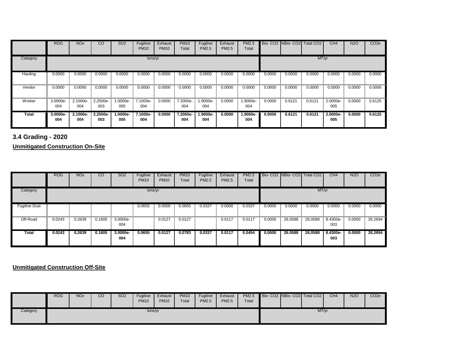|          | <b>ROG</b>      | <b>NO<sub>x</sub></b> | $\overline{c}$  | SO <sub>2</sub> | Fugitive<br><b>PM10</b> | Exhaust<br><b>PM10</b> | <b>PM10</b><br>Total | Fugitive<br><b>PM2.5</b> | Exhaust<br>PM2.5 | <b>PM2.5</b><br>Total |        |        | Bio- CO2 NBio- CO2 Total CO2 | CH4             | <b>N2O</b> | CO <sub>2e</sub> |
|----------|-----------------|-----------------------|-----------------|-----------------|-------------------------|------------------------|----------------------|--------------------------|------------------|-----------------------|--------|--------|------------------------------|-----------------|------------|------------------|
| Category |                 |                       |                 |                 | tons/yr                 |                        |                      |                          |                  |                       |        |        | MT/yr                        |                 |            |                  |
| Hauling  | 0.0000          | 0.0000                | 0.0000          | 0.0000          | 0.0000                  | 0.0000                 | 0.0000               | 0.0000                   | 0.0000           | 0.0000                | 0.0000 | 0.0000 | 0.0000                       | 0.0000          | 0.0000     | 0.0000           |
| Vendor   | 0.0000          | 0.0000                | 0.0000          | 0.0000          | 0.0000                  | 0.0000                 | 0.0000               | 0.0000                   | 0.0000           | 0.0000                | 0.0000 | 0.0000 | 0.0000                       | 0.0000          | 0.0000     | 0.0000           |
| Worker   | 3.0000e-<br>004 | 2.1000e-<br>004       | 2.2500e-<br>003 | 1.0000e-<br>005 | 7.1000e-<br>004         | 0.0000                 | 7.2000e-<br>004      | 1.9000e-<br>004          | 0.0000           | 1.9000e-<br>004       | 0.0000 | 0.6121 | 0.6121                       | 2.0000e-<br>005 | 0.0000     | 0.6125           |
| Total    | 3.0000e-<br>004 | 2.1000e-<br>004       | 2.2500e-<br>003 | 1.0000e-<br>005 | 7.1000e-<br>004         | 0.0000                 | 7.2000e-<br>004      | 1.9000e-<br>004          | 0.0000           | $1.9000e-$<br>004     | 0.0000 | 0.6121 | 0.6121                       | 2.0000e-<br>005 | 0.0000     | 0.6125           |

**3.4 Grading - 2020**

**Unmitigated Construction On-Site**

|                      | <b>ROG</b> | <b>NO<sub>x</sub></b> | $\overline{c}$ | SO <sub>2</sub> | Fugitive<br><b>PM10</b> | Exhaust<br><b>PM10</b> | <b>PM10</b><br>Total | Fugitive<br><b>PM2.5</b> | Exhaust<br><b>PM2.5</b> | <b>PM2.5</b><br>Total |        |         | Bio- CO2 NBio- CO2 Total CO2 | CH4             | <b>N2O</b> | CO <sub>2e</sub> |
|----------------------|------------|-----------------------|----------------|-----------------|-------------------------|------------------------|----------------------|--------------------------|-------------------------|-----------------------|--------|---------|------------------------------|-----------------|------------|------------------|
| Category             |            |                       |                |                 | tons/yr                 |                        |                      |                          |                         |                       |        |         | MT/yr                        |                 |            |                  |
| <b>Fugitive Dust</b> |            |                       |                |                 | 0.0655                  | 0.0000                 | 0.0655               | 0.0337                   | 0.0000                  | 0.0337                | 0.0000 | 0.0000  | 0.0000                       | 0.0000          | 0.0000     | 0.0000           |
| Off-Road             | 0.0243     | 0.2639                | 0.1605         | 3.0000e-<br>004 |                         | 0.0127                 | 0.0127               |                          | 0.0117                  | 0.0117                | 0.0000 | 26.0588 | 26.0588                      | 8.4300e-<br>003 | 0.0000     | 26.2694          |
| Total                | 0.0243     | 0.2639                | 0.1605         | 3.0000e-<br>004 | 0.0655                  | 0.0127                 | 0.0783               | 0.0337                   | 0.0117                  | 0.0454                | 0.0000 | 26.0588 | 26.0588                      | 8.4300e-<br>003 | 0.0000     | 26.2694          |

**Unmitigated Construction Off-Site**

|          | <b>ROG</b> | <b>NO<sub>x</sub></b> | CO | SO <sub>2</sub> | Fugitive<br><b>PM10</b> | Exhaust<br><b>PM10</b> | <b>PM10</b><br>Total | Fugitive<br><b>PM2.5</b> | Exhaust<br>PM2.5 | <b>PM2.5</b><br>Total |  | Bio-CO2 NBio-CO2 Total CO2 | CH <sub>4</sub> | <b>N2O</b> | CO <sub>2e</sub> |
|----------|------------|-----------------------|----|-----------------|-------------------------|------------------------|----------------------|--------------------------|------------------|-----------------------|--|----------------------------|-----------------|------------|------------------|
| Category |            |                       |    |                 | tons/yr                 |                        |                      |                          |                  |                       |  | MT/yr                      |                 |            |                  |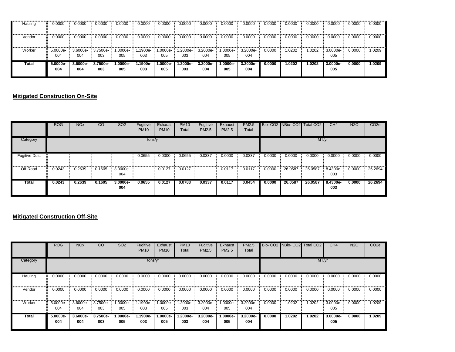| Hauling | 0.0000            | 0.0000            | 0.0000            | 0.0000          | 0.0000           | 0.0000         | 0.0000          | 0.0000            | 0.0000            | 0.0000          | 0.0000 | 0.0000 | 0.0000 | 0.0000          | 0.0000 | 0.0000 |
|---------|-------------------|-------------------|-------------------|-----------------|------------------|----------------|-----------------|-------------------|-------------------|-----------------|--------|--------|--------|-----------------|--------|--------|
| Vendor  | 0.0000            | 0.0000            | 0.0000            | 0.0000          | 0.0000           | 0.0000         | 0.0000          | 0.0000            | 0.0000            | 0.0000          | 0.0000 | 0.0000 | 0.0000 | 0.0000          | 0.0000 | 0.0000 |
| Worker  | 5.0000e-<br>004   | 3.6000e-<br>004   | 3.7500e-<br>003   | 1.0000e-<br>005 | $.1900e-$<br>003 | -.0000e<br>005 | 1.2000e-<br>003 | 3.2000e-<br>004   | 1.0000e-<br>005   | 3.2000e-<br>004 | 0.0000 | 1.0202 | .0202  | 3.0000e-<br>005 | 0.0000 | 1.0209 |
| Total   | $5.0000e-$<br>004 | $3.6000e-$<br>004 | $3.7500e-$<br>003 | 1.0000e-<br>005 | $.1900e-$<br>003 | -.0000e<br>005 | 1.2000e-<br>003 | $3.2000e-$<br>004 | $1.0000e-$<br>005 | 3.2000e-<br>004 | 0.0000 | 1.0202 | .0202  | 3.0000e-<br>005 | 0.0000 | 1.0209 |

#### **Mitigated Construction On-Site**

|                      | <b>ROG</b> | <b>NO<sub>x</sub></b> | <sub>CO</sub> | <b>SO2</b>      | Fugitive<br><b>PM10</b> | Exhaust<br><b>PM10</b> | <b>PM10</b><br>Total | Fugitive<br>PM2.5 | Exhaust<br><b>PM2.5</b> | <b>PM2.5</b><br>Total |        |         | Bio- CO2 NBio- CO2 Total CO2 | CH <sub>4</sub> | N <sub>2</sub> O | CO <sub>2</sub> e |
|----------------------|------------|-----------------------|---------------|-----------------|-------------------------|------------------------|----------------------|-------------------|-------------------------|-----------------------|--------|---------|------------------------------|-----------------|------------------|-------------------|
| Category             |            |                       |               |                 | tons/yr                 |                        |                      |                   |                         |                       |        |         | MT/yr                        |                 |                  |                   |
| <b>Fugitive Dust</b> |            |                       |               |                 | 0.0655                  | 0.0000                 | 0.0655               | 0.0337            | 0.0000                  | 0.0337                | 0.0000 | 0.0000  | 0.0000                       | 0.0000          | 0.0000           | 0.0000            |
| Off-Road             | 0.0243     | 0.2639                | 0.1605        | 3.0000e-<br>004 |                         | 0.0127                 | 0.0127               |                   | 0.0117                  | 0.0117                | 0.0000 | 26.0587 | 26.0587                      | 8.4300e-<br>003 | 0.0000           | 26.2694           |
| Total                | 0.0243     | 0.2639                | 0.1605        | 3.0000e-<br>004 | 0.0655                  | 0.0127                 | 0.0783               | 0.0337            | 0.0117                  | 0.0454                | 0.0000 | 26.0587 | 26.0587                      | 8.4300e-<br>003 | 0.0000           | 26.2694           |

#### **Mitigated Construction Off-Site**

|          | <b>ROG</b>      | <b>NO<sub>x</sub></b> | <sub>CO</sub>   | <b>SO2</b>        | Fugitive<br><b>PM10</b> | Exhaust<br><b>PM10</b> | <b>PM10</b><br>Total | Fugitive<br>PM2.5 | Exhaust<br><b>PM2.5</b> | <b>PM2.5</b><br>Total |        | Bio- CO <sub>2</sub> NBio- CO <sub>2</sub> | Total CO <sub>2</sub> | CH <sub>4</sub> | <b>N2O</b> | CO <sub>2e</sub> |
|----------|-----------------|-----------------------|-----------------|-------------------|-------------------------|------------------------|----------------------|-------------------|-------------------------|-----------------------|--------|--------------------------------------------|-----------------------|-----------------|------------|------------------|
| Category |                 |                       |                 |                   | tons/yr                 |                        |                      |                   |                         |                       |        |                                            | MT/yr                 |                 |            |                  |
| Hauling  | 0.0000          | 0.0000                | 0.0000          | 0.0000            | 0.0000                  | 0.0000                 | 0.0000               | 0.0000            | 0.0000                  | 0.0000                | 0.0000 | 0.0000                                     | 0.0000                | 0.0000          | 0.0000     | 0.0000           |
| Vendor   | 0.0000          | 0.0000                | 0.0000          | 0.0000            | 0.0000                  | 0.0000                 | 0.0000               | 0.0000            | 0.0000                  | 0.0000                | 0.0000 | 0.0000                                     | 0.0000                | 0.0000          | 0.0000     | 0.0000           |
| Worker   | 5.0000e-<br>004 | 3.6000e-<br>004       | 3.7500e-<br>003 | 1.0000e-<br>005   | 1.1900e-<br>003         | 1.0000e-<br>005        | $.2000e-$<br>003     | 3.2000e-<br>004   | 1.0000e-<br>005         | 3.2000e-<br>004       | 0.0000 | 1.0202                                     | 1.0202                | 3.0000e-<br>005 | 0.0000     | 1.0209           |
| Total    | 5.0000e-<br>004 | 3.6000e-<br>004       | 3.7500e-<br>003 | $1.0000e-$<br>005 | 1.1900e-<br>003         | $.0000e-$<br>005       | $.2000e-$<br>003     | 3.2000e-<br>004   | $1.0000e-$<br>005       | 3.2000e-<br>004       | 0.0000 | 1.0202                                     | 1.0202                | 3.0000e-<br>005 | 0.0000     | 1.0209           |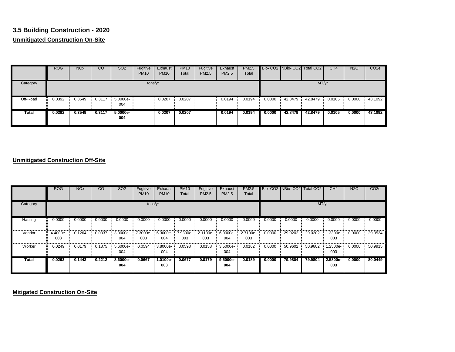## **3.5 Building Construction - 2020 Unmitigated Construction On-Site**

|          | <b>ROG</b> | <b>NO<sub>x</sub></b> | CO     | <b>SO2</b>        | Fugitive<br><b>PM10</b> | Exhaust<br><b>PM10</b> | <b>PM10</b><br>Total | Fugitive<br>PM2.5 | Exhaust<br>PM2.5 | <b>PM2.5</b><br>Total |        |         | Bio-CO2 NBio-CO2 Total CO2 | CH4    | <b>N2O</b> | CO <sub>2e</sub> |
|----------|------------|-----------------------|--------|-------------------|-------------------------|------------------------|----------------------|-------------------|------------------|-----------------------|--------|---------|----------------------------|--------|------------|------------------|
| Category |            |                       |        |                   | tons/yr                 |                        |                      |                   |                  |                       |        |         | MT/yr                      |        |            |                  |
| Off-Road | 0.0392     | 0.3549                | 0.3117 | 5.0000e-<br>004   |                         | 0.0207                 | 0.0207               |                   | 0.0194           | 0.0194                | 0.0000 | 42.8479 | 42.8479                    | 0.0105 | 0.0000     | 43.1092          |
| Total    | 0.0392     | 0.3549                | 0.3117 | $5.0000e-$<br>004 |                         | 0.0207                 | 0.0207               |                   | 0.0194           | 0.0194                | 0.0000 | 42,8479 | 42.8479                    | 0.0105 | 0.0000     | 43.1092          |

#### **Unmitigated Construction Off-Site**

|              | <b>ROG</b>      | NO <sub>x</sub> | CO     | SO <sub>2</sub> | Fugitive<br><b>PM10</b> | Exhaust<br><b>PM10</b> | <b>PM10</b><br>Total | Fugitive<br>PM2.5 | Exhaust<br>PM2.5  | <b>PM2.5</b><br>Total |        | Bio-CO2 INBio-CO2I Total CO2 |         | CH <sub>4</sub> | <b>N2O</b> | CO <sub>2e</sub> |
|--------------|-----------------|-----------------|--------|-----------------|-------------------------|------------------------|----------------------|-------------------|-------------------|-----------------------|--------|------------------------------|---------|-----------------|------------|------------------|
| Category     |                 |                 |        |                 | tons/yr                 |                        |                      |                   |                   |                       |        |                              | MT/yr   |                 |            |                  |
| Hauling      | 0.0000          | 0.0000          | 0.0000 | 0.0000          | 0.0000                  | 0.0000                 | 0.0000               | 0.0000            | 0.0000            | 0.0000                | 0.0000 | 0.0000                       | 0.0000  | 0.0000          | 0.0000     | 0.0000           |
| Vendor       | 4.4000e-<br>003 | 0.1264          | 0.0337 | 3.0000e-<br>004 | 7.3000e-<br>003         | 6.3000e-<br>004        | 7.9300e-<br>003      | 2.1100e-<br>003   | 6.0000e-<br>004   | 2.7100e-<br>003       | 0.0000 | 29.0202                      | 29.0202 | 1.3300e-<br>003 | 0.0000     | 29.0534          |
| Worker       | 0.0249          | 0.0179          | 0.1875 | 5.6000e-<br>004 | 0.0594                  | 3.8000e-<br>004        | 0.0598               | 0.0158            | 3.5000e-<br>004   | 0.0162                | 0.0000 | 50.9602                      | 50.9602 | 1.2500e-<br>003 | 0.0000     | 50.9915          |
| <b>Total</b> | 0.0293          | 0.1443          | 0.2212 | 8.6000e-<br>004 | 0.0667                  | 1.0100e-<br>003        | 0.0677               | 0.0179            | $9.5000e-$<br>004 | 0.0189                | 0.0000 | 79.9804                      | 79.9804 | 2.5800e-<br>003 | 0.0000     | 80.0449          |

**Mitigated Construction On-Site**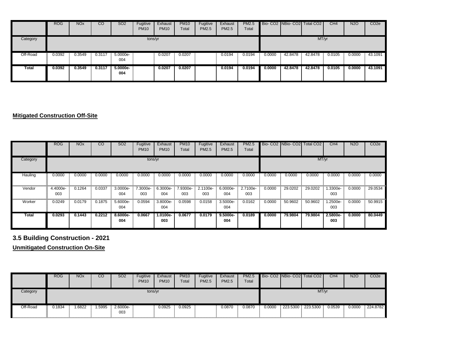|          | <b>ROG</b> | NO <sub>x</sub> | CO     | <b>SO2</b>      | Fugitive<br><b>PM10</b> | Exhaust<br><b>PM10</b> | <b>PM10</b><br>Total | Fugitive<br><b>PM2.5</b> | Exhaust<br>PM2.5 | <b>PM2.5</b><br>Total |        |         | Bio- CO2 NBio- CO2 Total CO2 | CH4    | <b>N2O</b> | CO <sub>2e</sub> |
|----------|------------|-----------------|--------|-----------------|-------------------------|------------------------|----------------------|--------------------------|------------------|-----------------------|--------|---------|------------------------------|--------|------------|------------------|
| Category |            |                 |        |                 | tons/yr                 |                        |                      |                          |                  |                       |        |         | MT/yr                        |        |            |                  |
| Off-Road | 0.0392     | 0.3549          | 0.3117 | 5.0000e-<br>004 |                         | 0.0207                 | 0.0207               |                          | 0.0194           | 0.0194                | 0.0000 | 42.8478 | 42.8478                      | 0.0105 | 0.0000     | 43.1091          |
| Total    | 0.0392     | 0.3549          | 0.3117 | 5.0000e-<br>004 |                         | 0.0207                 | 0.0207               |                          | 0.0194           | 0.0194                | 0.0000 | 42.8478 | 42.8478                      | 0.0105 | 0.0000     | 43.1091          |

#### **Mitigated Construction Off-Site**

|          | <b>ROG</b>      | <b>NO<sub>x</sub></b> | $\overline{c}$ | SO <sub>2</sub> | Fugitive<br><b>PM10</b> | Exhaust<br><b>PM10</b> | <b>PM10</b><br>Total | Fugitive<br><b>PM2.5</b> | Exhaust<br><b>PM2.5</b> | <b>PM2.5</b><br>Total |        |         | Bio- CO <sub>2</sub> NBio- CO <sub>2</sub> Total CO <sub>2</sub> | CH4             | N2O    | CO <sub>2e</sub> |
|----------|-----------------|-----------------------|----------------|-----------------|-------------------------|------------------------|----------------------|--------------------------|-------------------------|-----------------------|--------|---------|------------------------------------------------------------------|-----------------|--------|------------------|
| Category |                 |                       |                |                 | tons/yr                 |                        |                      |                          |                         |                       |        |         | MT/yr                                                            |                 |        |                  |
| Hauling  | 0.0000          | 0.0000                | 0.0000         | 0.0000          | 0.0000                  | 0.0000                 | 0.0000               | 0.0000                   | 0.0000                  | 0.0000                | 0.0000 | 0.0000  | 0.0000                                                           | 0.0000          | 0.0000 | 0.0000           |
| Vendor   | 4.4000e-<br>003 | 0.1264                | 0.0337         | 3.0000e-<br>004 | 7.3000e-<br>003         | 6.3000e-<br>004        | 7.9300e-<br>003      | 2.1100e-<br>003          | 6.0000e-<br>004         | 2.7100e-<br>003       | 0.0000 | 29.0202 | 29.0202                                                          | 1.3300e-<br>003 | 0.0000 | 29.0534          |
| Worker   | 0.0249          | 0.0179                | 0.1875         | 5.6000e-<br>004 | 0.0594                  | 3.8000e-<br>004        | 0.0598               | 0.0158                   | 3.5000e-<br>004         | 0.0162                | 0.0000 | 50.9602 | 50.9602                                                          | 1.2500e-<br>003 | 0.0000 | 50.9915          |
| Total    | 0.0293          | 0.1443                | 0.2212         | 8.6000e-<br>004 | 0.0667                  | $1.0100e-$<br>003      | 0.0677               | 0.0179                   | $9.5000e-$<br>004       | 0.0189                | 0.0000 | 79.9804 | 79.9804                                                          | 2.5800e-<br>003 | 0.0000 | 80,0449          |

# **3.5 Building Construction - 2021**

**Unmitigated Construction On-Site**

|          | <b>ROG</b> | <b>NO<sub>x</sub></b> | <sub>CO</sub> | SO <sub>2</sub> | Fugitive<br><b>PM10</b> | Exhaust<br><b>PM10</b> | <b>PM10</b><br>Total | Fugitive<br>PM2.5 | Exhaust<br><b>PM2.5</b> | <b>PM2.5</b><br>Total |        |          | Bio-CO2 NBio-CO2 Total CO2 | CH4    | <b>N2O</b> | CO <sub>2e</sub> |
|----------|------------|-----------------------|---------------|-----------------|-------------------------|------------------------|----------------------|-------------------|-------------------------|-----------------------|--------|----------|----------------------------|--------|------------|------------------|
| Category |            |                       |               |                 | tons/yr                 |                        |                      |                   |                         |                       |        |          | MT/yr                      |        |            |                  |
| Off-Road | 0.1834     | 1.6822                | .5995         | 2.6000e-<br>003 |                         | 0.0925                 | 0.0925               |                   | 0.0870                  | 0.0870                | 0.0000 | 223.5300 | 223.5300                   | 0.0539 | 0.0000     | 224.8782         |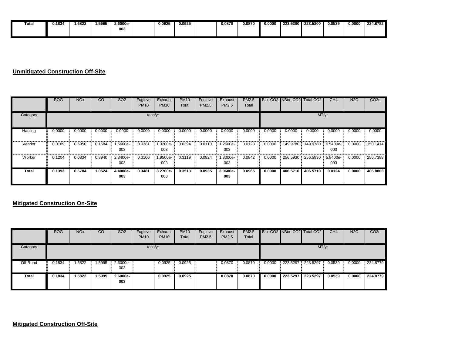| Total | J.1834 | 1.6822 | 1.5995 | 2.6000e- | 0.0925 | 0.0925 | 0.0870 | 0.0870 | 0.0000 | 223.5300 | 223.5300 ل | 0.0539 | 0.0000 | 224.8782 |
|-------|--------|--------|--------|----------|--------|--------|--------|--------|--------|----------|------------|--------|--------|----------|
|       |        |        |        | 003      |        |        |        |        |        |          |            |        |        |          |
|       |        |        |        |          |        |        |        |        |        |          |            |        |        |          |

#### **Unmitigated Construction Off-Site**

|          | <b>ROG</b> | <b>NO<sub>x</sub></b> | $\overline{\text{co}}$ | SO <sub>2</sub> | Fugitive<br><b>PM10</b> | Exhaust<br><b>PM10</b> | <b>PM10</b><br>Total | Fugitive<br><b>PM2.5</b> | Exhaust<br><b>PM2.5</b> | <b>PM2.5</b><br>Total |        | Bio- CO2 NBio- CO2 | Total CO <sub>2</sub> | CH4             | <b>N2O</b> | CO <sub>2e</sub> |
|----------|------------|-----------------------|------------------------|-----------------|-------------------------|------------------------|----------------------|--------------------------|-------------------------|-----------------------|--------|--------------------|-----------------------|-----------------|------------|------------------|
| Category |            |                       |                        |                 | tons/yr                 |                        |                      |                          |                         |                       |        |                    | MT/yr                 |                 |            |                  |
| Hauling  | 0.0000     | 0.0000                | 0.0000                 | 0.0000          | 0.0000                  | 0.0000                 | 0.0000               | 0.0000                   | 0.0000                  | 0.0000                | 0.0000 | 0.0000             | 0.0000                | 0.0000          | 0.0000     | 0.0000           |
| Vendor   | 0.0189     | 0.5950                | 0.1584                 | -5600e.<br>003  | 0.0381                  | 1.3200e-<br>003        | 0.0394               | 0.0110                   | 1.2600e-<br>003         | 0.0123                | 0.0000 | 149.9780           | 149.9780              | 6.5400e-<br>003 | 0.0000     | 150.1414         |
| Worker   | 0.1204     | 0.0834                | 0.8940                 | 2.8400e-<br>003 | 0.3100                  | 1.9500e-<br>003        | 0.3119               | 0.0824                   | 1.8000e-<br>003         | 0.0842                | 0.0000 | 256.5930           | 256.5930              | 5.8400e-<br>003 | 0.0000     | 256.7388         |
| Total    | 0.1393     | 0.6784                | 1.0524                 | 4.4000e-<br>003 | 0.3481                  | 3.2700e-<br>003        | 0.3513               | 0.0935                   | 3.0600e-<br>003         | 0.0965                | 0.0000 | 406.5710           | 406.5710              | 0.0124          | 0.0000     | 406.8803         |

#### **Mitigated Construction On-Site**

|          | <b>ROG</b> | <b>NO<sub>x</sub></b> | CО     | SO <sub>2</sub> | Fugitive<br><b>PM10</b> | Exhaust<br><b>PM10</b> | <b>PM10</b><br>Total | Fugitive<br><b>PM2.5</b> | Exhaust<br><b>PM2.5</b> | <b>PM2.5</b><br>Total |        |          | Bio- CO2 NBio- CO2 Total CO2 | CH <sub>4</sub> | <b>N2O</b> | CO <sub>2e</sub> |
|----------|------------|-----------------------|--------|-----------------|-------------------------|------------------------|----------------------|--------------------------|-------------------------|-----------------------|--------|----------|------------------------------|-----------------|------------|------------------|
| Category |            |                       |        |                 | tons/yr                 |                        |                      |                          |                         |                       |        |          | MT/yr                        |                 |            |                  |
| Off-Road | 0.1834     | 1.6822                | 1.5995 | 2.6000e-<br>003 |                         | 0.0925                 | 0.0925               |                          | 0.0870                  | 0.0870                | 0.0000 | 223.5297 | 223.5297                     | 0.0539          | 0.0000     | 224.8779         |
| Total    | 0.1834     | 1.6822                | 1.5995 | 2.6000e-<br>003 |                         | 0.0925                 | 0.0925               |                          | 0.0870                  | 0.0870                | 0.0000 | 223.5297 | 223.5297                     | 0.0539          | 0.0000     | 224.8779         |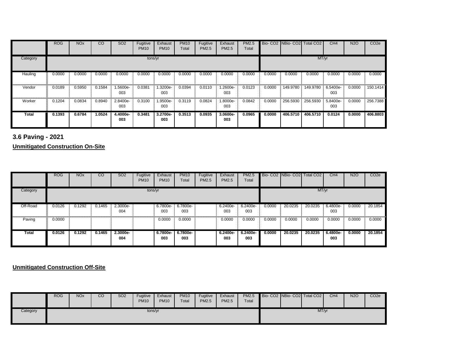|              | <b>ROG</b> | <b>NO<sub>x</sub></b> | $\overline{c}$ | <b>SO2</b>      | Fugitive<br><b>PM10</b> | Exhaust<br><b>PM10</b> | <b>PM10</b><br>Total | Fugitive<br><b>PM2.5</b> | Exhaust<br><b>PM2.5</b> | <b>PM2.5</b><br>Total |        |          | Bio- CO2 NBio- CO2 Total CO2 | CH4             | <b>N2O</b> | CO <sub>2e</sub> |
|--------------|------------|-----------------------|----------------|-----------------|-------------------------|------------------------|----------------------|--------------------------|-------------------------|-----------------------|--------|----------|------------------------------|-----------------|------------|------------------|
| Category     |            |                       |                |                 | tons/yr                 |                        |                      |                          |                         |                       |        |          | MT/yr                        |                 |            |                  |
| Hauling      | 0.0000     | 0.0000                | 0.0000         | 0.0000          | 0.0000                  | 0.0000                 | 0.0000               | 0.0000                   | 0.0000                  | 0.0000                | 0.0000 | 0.0000   | 0.0000                       | 0.0000          | 0.0000     | 0.0000           |
| Vendor       | 0.0189     | 0.5950                | 0.1584         | 1.5600e-<br>003 | 0.0381                  | .3200e-<br>003         | 0.0394               | 0.0110                   | 1.2600e-<br>003         | 0.0123                | 0.0000 | 149.9780 | 149.9780                     | 6.5400e-<br>003 | 0.0000     | 150.1414         |
| Worker       | 0.1204     | 0.0834                | 0.8940         | 2.8400e-<br>003 | 0.3100                  | 1.9500e-<br>003        | 0.3119               | 0.0824                   | 1.8000e-<br>003         | 0.0842                | 0.0000 | 256.5930 | 256.5930                     | 5.8400e-<br>003 | 0.0000     | 256.7388         |
| <b>Total</b> | 0.1393     | 0.6784                | 1.0524         | 4.4000e-<br>003 | 0.3481                  | 3.2700e-<br>003        | 0.3513               | 0.0935                   | 3.0600e-<br>003         | 0.0965                | 0.0000 | 406.5710 | 406.5710                     | 0.0124          | 0.0000     | 406.8803         |

**3.6 Paving - 2021**

**Unmitigated Construction On-Site**

|              | <b>ROG</b> | <b>NO<sub>x</sub></b> | CO     | SO <sub>2</sub> | Fugitive<br><b>PM10</b> | Exhaust<br><b>PM10</b>   | <b>PM10</b><br>Total | Fugitive<br>PM2.5 | Exhaust<br><b>PM2.5</b> | <b>PM2.5</b><br>Total |        |         | Bio- CO2 NBio- CO2 Total CO2 | CH4             | <b>N2O</b> | CO <sub>2e</sub> |
|--------------|------------|-----------------------|--------|-----------------|-------------------------|--------------------------|----------------------|-------------------|-------------------------|-----------------------|--------|---------|------------------------------|-----------------|------------|------------------|
| Category     |            |                       |        |                 | tons/yr                 |                          |                      |                   |                         |                       |        |         | MT/yr                        |                 |            |                  |
| Off-Road     | 0.0126     | 0.1292                | 0.1465 | 2.3000e-<br>004 |                         | 6.7800e- 6.7800e-<br>003 | 003                  |                   | 6.2400e-<br>003         | $6.2400e-$<br>003     | 0.0000 | 20.0235 | 20.0235                      | 6.4800e-<br>003 | 0.0000     | 20.1854          |
| Paving       | 0.0000     |                       |        |                 |                         | 0.0000                   | 0.0000               |                   | 0.0000                  | 0.0000                | 0.0000 | 0.0000  | 0.0000                       | 0.0000          | 0.0000     | 0.0000           |
| <b>Total</b> | 0.0126     | 0.1292                | 0.1465 | 2.3000e-<br>004 |                         | 6.7800e-<br>003          | 6.7800e-<br>003      |                   | 6.2400e-<br>003         | 6.2400e-<br>003       | 0.0000 | 20.0235 | 20.0235                      | 6.4800e-<br>003 | 0.0000     | 20.1854          |

**Unmitigated Construction Off-Site**

|          | <b>ROG</b> | <b>NO<sub>x</sub></b> | CO | SO <sub>2</sub> | Fugitive<br><b>PM10</b> | Exhaust<br><b>PM10</b> | <b>PM10</b><br>Total | Fugitive<br>PM2.5 | Exhaust<br><b>PM2.5</b> | <b>PM2.5</b><br>Total |  | Bio-CO2 NBio-CO2 Total CO2 | CH <sub>4</sub> | <b>N2O</b> | CO <sub>2</sub> e |
|----------|------------|-----------------------|----|-----------------|-------------------------|------------------------|----------------------|-------------------|-------------------------|-----------------------|--|----------------------------|-----------------|------------|-------------------|
| Category |            |                       |    |                 | tons/yr                 |                        |                      |                   |                         |                       |  | MT/yr                      |                 |            |                   |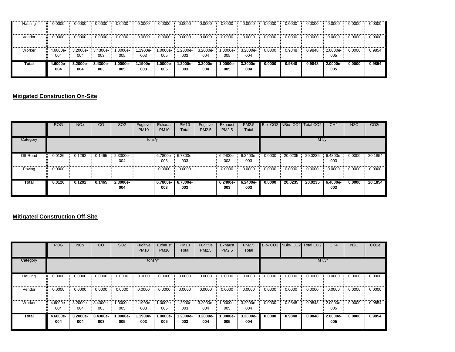| Hauling | 0.0000   | 0.0000     | 0.0000     | 0.0000   | 0.0000    | 0.0000     | 0.0000    | 0.0000     | 0.0000   | 0.0000     | 0.0000 | 0.0000 | 0.0000 | 0.0000     | 0.0000 | 0.0000 |
|---------|----------|------------|------------|----------|-----------|------------|-----------|------------|----------|------------|--------|--------|--------|------------|--------|--------|
|         |          |            |            |          |           |            |           |            |          |            |        |        |        |            |        |        |
| Vendor  | 0.0000   | 0.0000     | 0.0000     | 0.0000   | 0.0000    | 0.0000     | 0.0000    | 0.0000     | 0.0000   | 0.0000     | 0.0000 | 0.0000 | 0.0000 | 0.0000     | 0.0000 | 0.0000 |
|         |          |            |            |          |           |            |           |            |          |            |        |        |        |            |        |        |
| Worker  | 4.6000e- | 3.2000e-   | 3.4300e-   | 1.0000e- | $.1900e-$ | $.0000e-$  | $.2000e-$ | 3.2000e-   | 1.0000e- | 3.2000e-   | 0.0000 | 0.9848 | 0.9848 | 2.0000e-   | 0.0000 | 0.9854 |
|         | 004      | 004        | 003        | 005      | 003       | 005        | 003       | 004        | 005      | 004        |        |        |        | 005        |        |        |
| Total   | 4.6000e- | $3.2000e-$ | $3.4300e-$ | 1.0000e- | $.1900e-$ | $1.0000e-$ | -.2000e   | $3.2000e-$ | 1.0000e- | $3.2000e-$ | 0.0000 | 0.9848 | 0.9848 | $2.0000e-$ | 0.0000 | 0.9854 |
|         | 004      | 004        | 003        | 005      | 003       | 005        | 003       | 004        | 005      | 004        |        |        |        | 005        |        |        |
|         |          |            |            |          |           |            |           |            |          |            |        |        |        |            |        |        |

#### **Mitigated Construction On-Site**

|          | <b>ROG</b> | <b>NO<sub>x</sub></b> | <sub>CO</sub> | <b>SO2</b>      | Fugitive<br><b>PM10</b> | Exhaust<br><b>PM10</b> | <b>PM10</b><br>Total | Fugitive<br>PM2.5 | Exhaust<br><b>PM2.5</b> | <b>PM2.5</b><br>Total |        |         | Bio- CO2 NBio- CO2 Total CO2 | CH <sub>4</sub> | <b>N2O</b> | CO <sub>2</sub> e |
|----------|------------|-----------------------|---------------|-----------------|-------------------------|------------------------|----------------------|-------------------|-------------------------|-----------------------|--------|---------|------------------------------|-----------------|------------|-------------------|
| Category |            |                       |               |                 | tons/yr                 |                        |                      |                   |                         |                       |        |         | MT/yr                        |                 |            |                   |
| Off-Road | 0.0126     | 0.1292                | 0.1465        | 2.3000e-<br>004 |                         | 6.7800e-<br>003        | 6.7800e-<br>003      |                   | 6.2400e-<br>003         | 6.2400e-<br>003       | 0.0000 | 20.0235 | 20.0235                      | 6.4800e-<br>003 | 0.0000     | 20.1854           |
| Paving   | 0.0000     |                       |               |                 |                         | 0.0000                 | 0.0000               |                   | 0.0000                  | 0.0000                | 0.0000 | 0.0000  | 0.0000                       | 0.0000          | 0.0000     | 0.0000            |
| Total    | 0.0126     | 0.1292                | 0.1465        | 2.3000e-<br>004 |                         | 6.7800e-<br>003        | 6.7800e-<br>003      |                   | 6.2400e-<br>003         | 6.2400e-<br>003       | 0.0000 | 20.0235 | 20.0235                      | 6.4800e-<br>003 | 0.0000     | 20.1854           |

#### **Mitigated Construction Off-Site**

|          | <b>ROG</b>      | <b>NO<sub>x</sub></b> | $\overline{c}$  | <b>SO2</b>        | Fugitive<br><b>PM10</b> | Exhaust<br><b>PM10</b> | <b>PM10</b><br>Total | Fugitive<br><b>PM2.5</b> | Exhaust<br><b>PM2.5</b> | <b>PM2.5</b><br>Total |        | Bio-CO2 NBio-CO2 | Total CO <sub>2</sub> | CH <sub>4</sub> | <b>N2O</b> | CO <sub>2e</sub> |
|----------|-----------------|-----------------------|-----------------|-------------------|-------------------------|------------------------|----------------------|--------------------------|-------------------------|-----------------------|--------|------------------|-----------------------|-----------------|------------|------------------|
| Category |                 |                       |                 |                   | tons/yr                 |                        |                      |                          |                         |                       |        |                  | MT/yr                 |                 |            |                  |
| Hauling  | 0.0000          | 0.0000                | 0.0000          | 0.0000            | 0.0000                  | 0.0000                 | 0.0000               | 0.0000                   | 0.0000                  | 0.0000                | 0.0000 | 0.0000           | 0.0000                | 0.0000          | 0.0000     | 0.0000           |
| Vendor   | 0.0000          | 0.0000                | 0.0000          | 0.0000            | 0.0000                  | 0.0000                 | 0.0000               | 0.0000                   | 0.0000                  | 0.0000                | 0.0000 | 0.0000           | 0.0000                | 0.0000          | 0.0000     | 0.0000           |
| Worker   | 4.6000e-<br>004 | 3.2000e-<br>004       | 3.4300e-<br>003 | 1.0000e-<br>005   | 1.1900e-<br>003         | 1.0000e-<br>005        | $.2000e-$<br>003     | 3.2000e-<br>004          | 1.0000e-<br>005         | 3.2000e-<br>004       | 0.0000 | 0.9848           | 0.9848                | 2.0000e-<br>005 | 0.0000     | 0.9854           |
| Total    | 4.6000e-<br>004 | 3.2000e-<br>004       | 3.4300e-<br>003 | $1.0000e-$<br>005 | 1.1900e-<br>003         | $.0000e-$<br>005       | $.2000e-$<br>003     | 3.2000e-<br>004          | $1.0000e-$<br>005       | 3.2000e-<br>004       | 0.0000 | 0.9848           | 0.9848                | 2.0000e-<br>005 | 0.0000     | 0.9854           |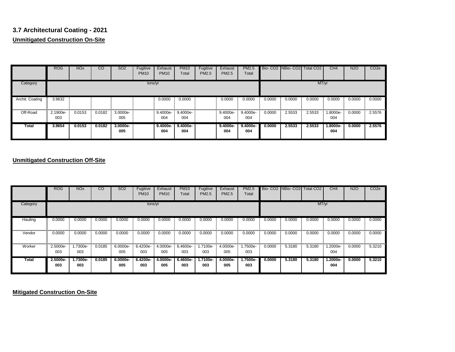# **3.7 Architectural Coating - 2021 Unmitigated Construction On-Site**

|                 | <b>ROG</b>      | <b>NO<sub>x</sub></b> | <sub>CO</sub> | SO <sub>2</sub>   | Fugitive<br><b>PM10</b> | Exhaust<br><b>PM10</b> | <b>PM10</b><br>Total | Fugitive<br>PM2.5 | Exhaust<br>PM2.5  | <b>PM2.5</b><br>Total |        |        | Bio- CO2 NBio- CO2 Total CO2 | CH4             | <b>N2O</b> | CO <sub>2e</sub> |
|-----------------|-----------------|-----------------------|---------------|-------------------|-------------------------|------------------------|----------------------|-------------------|-------------------|-----------------------|--------|--------|------------------------------|-----------------|------------|------------------|
| Category        |                 |                       |               |                   | tons/yr                 |                        |                      |                   |                   |                       |        |        | MT/yr                        |                 |            |                  |
| Archit. Coating | 3.9632<br>Ħ.    |                       |               |                   |                         | 0.0000                 | 0.0000               |                   | 0.0000            | 0.0000                | 0.0000 | 0.0000 | 0.0000                       | 0.0000          | 0.0000     | 0.0000           |
| Off-Road        | 2.1900e-<br>003 | 0.0153                | 0.0182        | 3.0000e-<br>005   |                         | 9.4000e-<br>004        | 9.4000e-<br>004      |                   | 9.4000e-<br>004   | 9.4000e-<br>004       | 0.0000 | 2.5533 | 2.5533                       | 1.8000e-<br>004 | 0.0000     | 2.5576           |
| Total           | 3.9654          | 0.0153                | 0.0182        | $3.0000e-$<br>005 |                         | $9.4000e-$<br>004      | $9,4000e-$<br>004    |                   | $9.4000e-$<br>004 | $9.4000e-$<br>004     | 0.0000 | 2.5533 | 2.5533                       | 1.8000e-<br>004 | 0.0000     | 2.5576           |

#### **Unmitigated Construction Off-Site**

|          | <b>ROG</b>      | <b>NO<sub>x</sub></b> | CO     | <b>SO2</b>      | Fugitive<br><b>PM10</b> | Exhaust<br><b>PM10</b> | <b>PM10</b><br>Total | Fugitive<br><b>PM2.5</b> | Exhaust<br><b>PM2.5</b> | <b>PM2.5</b><br>Total |        | Bio-CO2 INBio-CO2I Total CO2 |        | CH <sub>4</sub> | <b>N2O</b> | CO <sub>2e</sub> |
|----------|-----------------|-----------------------|--------|-----------------|-------------------------|------------------------|----------------------|--------------------------|-------------------------|-----------------------|--------|------------------------------|--------|-----------------|------------|------------------|
| Category |                 |                       |        |                 | tons/yr                 |                        |                      |                          |                         |                       |        |                              | MT/yr  |                 |            |                  |
| Hauling  | 0.0000          | 0.0000                | 0.0000 | 0.0000          | 0.0000                  | 0.0000                 | 0.0000               | 0.0000                   | 0.0000                  | 0.0000                | 0.0000 | 0.0000                       | 0.0000 | 0.0000          | 0.0000     | 0.0000           |
| Vendor   | 0.0000          | 0.0000                | 0.0000 | 0.0000          | 0.0000                  | 0.0000                 | 0.0000               | 0.0000                   | 0.0000                  | 0.0000                | 0.0000 | 0.0000                       | 0.0000 | 0.0000          | 0.0000     | 0.0000           |
| Worker   | 2.5000e-<br>003 | 1.7300e-<br>003       | 0.0185 | 6.0000e-<br>005 | 6.4200e-<br>003         | 4.0000e-<br>005        | 6.4600e-<br>003      | 1.7100e-<br>003          | 4.0000e-<br>005         | .7500e-<br>003        | 0.0000 | 5.3180                       | 5.3180 | 1.2000e-<br>004 | 0.0000     | 5.3210           |
| Total    | 2.5000e-<br>003 | 1.7300e-<br>003       | 0.0185 | 6.0000e-<br>005 | 6.4200e-<br>003         | 4.0000e-<br>005        | 6.4600e-<br>003      | 1.7100e-<br>003          | 4.0000e-<br>005         | 1.7500e-<br>003       | 0.0000 | 5.3180                       | 5.3180 | 1.2000e-<br>004 | 0.0000     | 5.3210           |

**Mitigated Construction On-Site**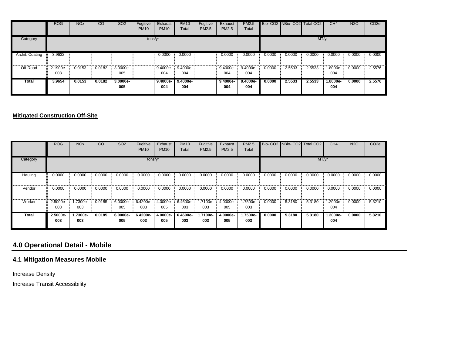|                 | <b>ROG</b>      | <b>NO<sub>x</sub></b> | CO     | <b>SO2</b>        | Fugitive<br><b>PM10</b> | Exhaust<br><b>PM10</b> | <b>PM10</b><br>Total | Fugitive<br>PM2.5 | Exhaust<br>PM2.5  | <b>PM2.5</b><br>Total |        |        | Bio- CO2 NBio- CO2 Total CO2 | CH4             | <b>N2O</b> | CO <sub>2e</sub> |
|-----------------|-----------------|-----------------------|--------|-------------------|-------------------------|------------------------|----------------------|-------------------|-------------------|-----------------------|--------|--------|------------------------------|-----------------|------------|------------------|
| Category        |                 |                       |        |                   | tons/yr                 |                        |                      |                   |                   |                       |        |        | MT/yr                        |                 |            |                  |
| Archit. Coating | 3.9632          |                       |        |                   |                         | 0.0000                 | 0.0000               |                   | 0.0000            | 0.0000                | 0.0000 | 0.0000 | 0.0000                       | 0.0000          | 0.0000     | 0.0000           |
| Off-Road        | 2.1900e-<br>003 | 0.0153                | 0.0182 | 3.0000e-<br>005   |                         | 9.4000e-<br>004        | 9.4000e-<br>004      |                   | 9.4000e-<br>004   | 9.4000e-<br>004       | 0.0000 | 2.5533 | 2.5533                       | 1.8000e-<br>004 | 0.0000     | 2.5576           |
| Total           | 3.9654          | 0.0153                | 0.0182 | $3.0000e-$<br>005 |                         | $9.4000e-$<br>004      | $9.4000e-$<br>004    |                   | $9.4000e-$<br>004 | $9.4000e-$<br>004     | 0.0000 | 2.5533 | 2.5533                       | 1.8000e-<br>004 | 0.0000     | 2.5576           |

#### **Mitigated Construction Off-Site**

|          | <b>ROG</b>      | <b>NO<sub>x</sub></b> | $\overline{c}$ | <b>SO2</b>        | Fugitive<br><b>PM10</b> | Exhaust<br><b>PM10</b> | <b>PM10</b><br>Total | Fugitive<br><b>PM2.5</b> | Exhaust<br><b>PM2.5</b> | <b>PM2.5</b><br>Total |        | Bio-CO2 NBio-CO2 | <b>Total CO2</b> | CH4             | <b>N2O</b> | CO <sub>2e</sub> |
|----------|-----------------|-----------------------|----------------|-------------------|-------------------------|------------------------|----------------------|--------------------------|-------------------------|-----------------------|--------|------------------|------------------|-----------------|------------|------------------|
| Category |                 |                       |                |                   | tons/yr                 |                        |                      |                          |                         |                       |        |                  | MT/yr            |                 |            |                  |
| Hauling  | 0.0000          | 0.0000                | 0.0000         | 0.0000            | 0.0000                  | 0.0000                 | 0.0000               | 0.0000                   | 0.0000                  | 0.0000                | 0.0000 | 0.0000           | 0.0000           | 0.0000          | 0.0000     | 0.0000           |
| Vendor   | 0.0000          | 0.0000                | 0.0000         | 0.0000            | 0.0000                  | 0.0000                 | 0.0000               | 0.0000                   | 0.0000                  | 0.0000                | 0.0000 | 0.0000           | 0.0000           | 0.0000          | 0.0000     | 0.0000           |
| Worker   | 2.5000e-<br>003 | 1.7300e-<br>003       | 0.0185         | 6.0000e-<br>005   | 6.4200e-<br>003         | 4.0000e-<br>005        | 6.4600e-<br>003      | 1.7100e-<br>003          | 4.0000e-<br>005         | 1.7500e-<br>003       | 0.0000 | 5.3180           | 5.3180           | -.2000e<br>004  | 0.0000     | 5.3210           |
| Total    | 2.5000e-<br>003 | 1.7300e-<br>003       | 0.0185         | $6.0000e-$<br>005 | 6.4200e-<br>003         | 4.0000e-<br>005        | 6.4600e-<br>003      | 1.7100e-<br>003          | 4.0000e-<br>005         | 1.7500e-<br>003       | 0.0000 | 5.3180           | 5.3180           | 1.2000e-<br>004 | 0.0000     | 5.3210           |

# **4.0 Operational Detail - Mobile**

#### **4.1 Mitigation Measures Mobile**

Increase Density

Increase Transit Accessibility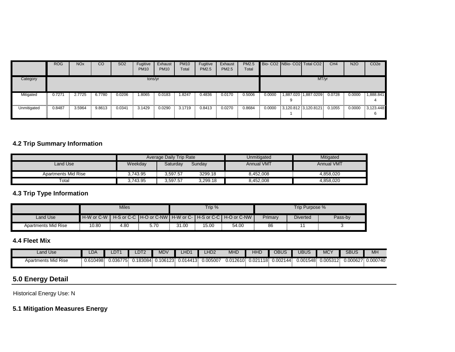|             | <b>ROG</b> | <b>NO<sub>x</sub></b> | CO     | SO <sub>2</sub> | Fugitive<br><b>PM10</b> | Exhaust<br><b>PM10</b> | <b>PM10</b><br>Total | Fugitive<br><b>PM2.5</b> | Exhaust<br>PM2.5 | <b>PM2.5</b><br>Total |        | Bio-CO2 NBio-CO2 Total CO2 | CH4    | <b>N2O</b> | CO <sub>2e</sub> |
|-------------|------------|-----------------------|--------|-----------------|-------------------------|------------------------|----------------------|--------------------------|------------------|-----------------------|--------|----------------------------|--------|------------|------------------|
| Category    |            |                       |        |                 | tons/yr                 |                        |                      |                          |                  |                       |        | MT/yr                      |        |            |                  |
| Mitigated   | 0.7271     | 2.7725                | 6.7780 | 0.0206          | .8065                   | 0.0183                 | .8247                | 0.4836                   | 0.0170           | 0.5006                | 0.0000 | 887.020 1,887.0209         | 0.0728 | 0.0000     | 1,888.841        |
| Unmitigated | 0.8487     | 3.5964                | 9.8613 | 0.0341          | 3.1429                  | 0.0290                 | 3.1719               | 0.8413                   | 0.0270           | 0.8684                | 0.0000 | 3,120.812 3,120.8121       | 0.1055 | 0.0000     | 3,123.448        |

### **4.2 Trip Summary Information**

|                     |          | Average Daily Trip Rate |          | Unmitigated       | Mitigated         |
|---------------------|----------|-------------------------|----------|-------------------|-------------------|
| Land Use            | Weekday  | Saturdav                | Sunday   | <b>Annual VMT</b> | <b>Annual VMT</b> |
| Apartments Mid Rise | 3.743.95 | 3.597.57                | 3299.18  | 8.452.008         | 4,858,020         |
| Total               | ,743.95  | 3.597.57                | 3.299.18 | 8.452.008         | 4,858,020         |

#### **4.3 Trip Type Information**

|                     |                                                                                     | Miles |  |          | Trip % |       |         | Trip Purpose %  |         |
|---------------------|-------------------------------------------------------------------------------------|-------|--|----------|--------|-------|---------|-----------------|---------|
| Land Use            | H-S or C-C   H-O or C-NW   H-W or C-   H-S or C-C   H-O or C-NW  <br>$H-W$ or $C-W$ |       |  | $\cdots$ |        |       | Primary | <b>Diverted</b> | Pass-by |
| Apartments Mid Rise | 10.80<br>4.80<br>5.70                                                               |       |  | 31.00    | 15.00  | 54.00 | 86      |                 |         |

#### **4.4 Fleet Mix**

| Land Use                   | _DA      | $\Gamma$<br>י ש | DT2     | <b>MDV</b> | LHD <sup>.</sup> | HD <sub>2</sub> | MHD      | ННС      | OBUS               | <b>JBUS</b> | MCV                | <b>SBUS</b> | MH       |
|----------------------------|----------|-----------------|---------|------------|------------------|-----------------|----------|----------|--------------------|-------------|--------------------|-------------|----------|
| <b>Apartments Mid Rise</b> | 0.610498 | J.036775.       | .183084 | 0.106123   | 0.014413         | 0.005007        | 0.012610 | 0.021118 | $0.002^{*}$<br>144 | 0.001548    | 005312<br>U.UUJJIZ | 0.000627    | 0.000740 |

# **5.0 Energy Detail**

Historical Energy Use: N

### **5.1 Mitigation Measures Energy**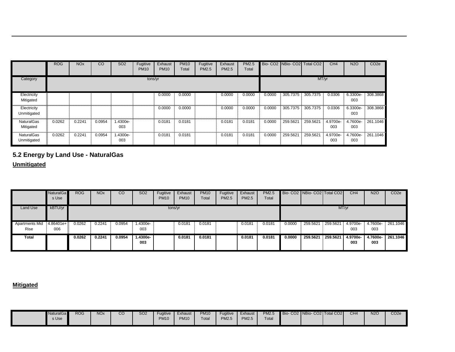|                                  | <b>ROG</b> | <b>NO<sub>x</sub></b> | CO     | <b>SO2</b>      | Fugitive<br><b>PM10</b> | Exhaust<br><b>PM10</b> | <b>PM10</b><br>Total | Fugitive<br><b>PM2.5</b> | Exhaust<br>PM2.5 | <b>PM2.5</b><br>Total |        |          | Bio- CO2 NBio- CO2 Total CO2 | CH4             | <b>N2O</b>      | CO <sub>2e</sub> |
|----------------------------------|------------|-----------------------|--------|-----------------|-------------------------|------------------------|----------------------|--------------------------|------------------|-----------------------|--------|----------|------------------------------|-----------------|-----------------|------------------|
| Category                         |            |                       |        |                 | tons/yr                 |                        |                      |                          |                  |                       |        |          | MT/yr                        |                 |                 |                  |
| Electricity<br>Mitigated         |            |                       |        |                 |                         | 0.0000                 | 0.0000               |                          | 0.0000           | 0.0000                | 0.0000 | 305.7375 | 305.7375                     | 0.0306          | 6.3300e<br>003  | 308.3868         |
| Electricity<br>Unmitigated       |            |                       |        |                 |                         | 0.0000                 | 0.0000               |                          | 0.0000           | 0.0000                | 0.0000 | 305.7375 | 305.7375                     | 0.0306          | 6.3300e-<br>003 | 308.3868         |
| <b>NaturalGas</b><br>Mitigated   | 0.0262     | 0.2241                | 0.0954 | 1.4300e-<br>003 |                         | 0.0181                 | 0.0181               |                          | 0.0181           | 0.0181                | 0.0000 | 259.5621 | 259.5621                     | 4.9700e-<br>003 | 4.7600e-<br>003 | 261.1046         |
| <b>NaturalGas</b><br>Unmitigated | 0.0262     | 0.2241                | 0.0954 | 1.4300e-<br>003 |                         | 0.0181                 | 0.0181               |                          | 0.0181           | 0.0181                | 0.0000 | 259.5621 | 259.5621                     | 4.9700e-<br>003 | 4.7600e-<br>003 | 261.1046         |

# **5.2 Energy by Land Use - NaturalGas**

#### **Unmitigated**

|                        | <b>NaturalGa</b><br>s Use | <b>ROG</b> | <b>NO<sub>x</sub></b> | <sub>CO</sub> | <b>SO2</b>        | Fugitive<br><b>PM10</b> | Exhaust<br><b>PM10</b> | <b>PM10</b><br>Total | Fugitive<br>PM2.5 | Exhaust<br>PM2.5 | PM2.5<br>Total |        | Bio- CO2   NBio- CO2   Total CO2 |          | CH <sub>4</sub> | <b>N2O</b>      | CO <sub>2e</sub> |
|------------------------|---------------------------|------------|-----------------------|---------------|-------------------|-------------------------|------------------------|----------------------|-------------------|------------------|----------------|--------|----------------------------------|----------|-----------------|-----------------|------------------|
| Land Use               | kBTU/yr                   |            |                       |               |                   | tons/yr                 |                        |                      |                   |                  |                |        |                                  |          | MT/yr           |                 |                  |
| Apartments Mid<br>Rise | 4.86401e+<br>006          | 0.0262     | 0.2241                | 0.0954        | 1.4300e-<br>003   |                         | 0.0181                 | 0.0181               |                   | 0.0181           | 0.0181         | 0.0000 | 259.5621                         | 259.5621 | 4.9700e-<br>003 | 4.7600e-<br>003 | 261.1046         |
| Total                  |                           | 0.0262     | 0.2241                | 0.0954        | $1.4300e-$<br>003 |                         | 0.0181                 | 0.0181               |                   | 0.0181           | 0.0181         | 0.0000 | 259.5621                         | 259.5621 | 4.9700e-<br>003 | 4.7600e-<br>003 | 261.1046         |

#### **Mitigated**

| <b>ROG</b><br><b>NO<sub>x</sub></b><br>CO<br><b>NaturalGa</b><br>s Use | SO <sub>2</sub><br><b>PM10</b><br>Exhaust<br><b>Fugitive</b><br>Total<br><b>PM10</b><br><b>PM10</b> | Bio-C<br>PM2.5<br>Fugitive<br>Exhaust<br><b>PM2.5</b><br>Total<br><b>PM2.5</b> | CO <sub>2</sub> e<br>N2O<br>- CO2 NBio- CO2 Total CO2<br>CH <sub>4</sub> |
|------------------------------------------------------------------------|-----------------------------------------------------------------------------------------------------|--------------------------------------------------------------------------------|--------------------------------------------------------------------------|
|------------------------------------------------------------------------|-----------------------------------------------------------------------------------------------------|--------------------------------------------------------------------------------|--------------------------------------------------------------------------|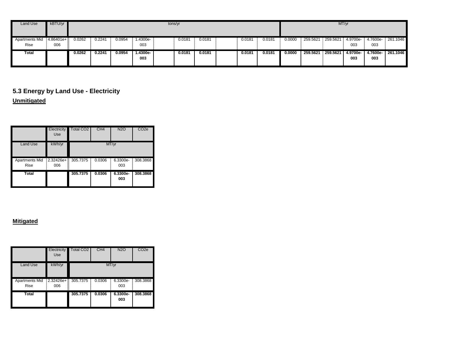| Land Use                      | kBTU/yr             |        |                                                                             |  |  |  | tons/yr |  |  |  |  |        |          |                   |                 |                 |          |
|-------------------------------|---------------------|--------|-----------------------------------------------------------------------------|--|--|--|---------|--|--|--|--|--------|----------|-------------------|-----------------|-----------------|----------|
| <b>Apartments Mid</b><br>Rise | $4.86401e +$<br>006 | 0.0262 | 0.224<br>0.0954<br>1.4300e-<br>0.0181<br>0.0181<br>0.0181<br>0.0181<br>003  |  |  |  |         |  |  |  |  | 0.0000 | 259.5621 | 259.5621 4.9700e- | 003             | 4.7600e-<br>003 | 261.1046 |
| Total                         |                     | 0.0262 | 1.4300e-<br>0.0954<br>0.0181<br>0.0181<br>0.2241<br>0.0181<br>0.0181<br>003 |  |  |  |         |  |  |  |  | 0.0000 | 259.5621 | 259.5621          | 4.9700e-<br>003 | 4.7600e-<br>003 | 261.1046 |

## **5.3 Energy by Land Use - Electricity Unmitigated**

|                               | Electricity<br>Use | <b>Total CO2</b> | CH <sub>4</sub> | <b>N2O</b>      | CO <sub>2e</sub> |
|-------------------------------|--------------------|------------------|-----------------|-----------------|------------------|
| Land Use                      | kWh/yr             |                  |                 | MT/yr           |                  |
| <b>Apartments Mid</b><br>Rise | $2.32426e+$<br>006 | 305.7375<br>Ξ    | 0.0306          | 6.3300e-<br>003 | 308.3868         |
| Total                         |                    | 305.7375         | 0.0306          | 6.3300e-<br>003 | 308.3868         |

#### **Mitigated**

|                               | Electricity<br>Use | Total CO2 | CH <sub>4</sub> | <b>N2O</b>      | CO <sub>2e</sub> |
|-------------------------------|--------------------|-----------|-----------------|-----------------|------------------|
| Land Use                      | kWh/yr             |           |                 | MT/yr           |                  |
| <b>Apartments Mid</b><br>Rise | $2.32426e+$<br>006 | 305.7375  | 0.0306          | 6.3300e-<br>003 | 308.3868         |
| Total                         |                    | 305.7375  | 0.0306          | 6.3300e-<br>003 | 308.3868         |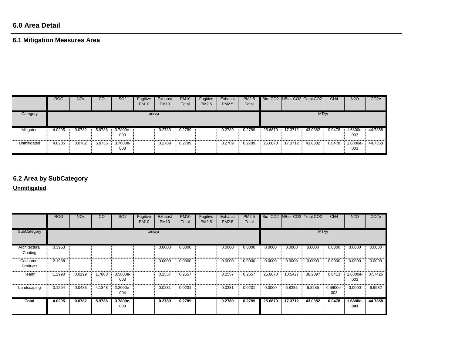### **6.0 Area Detail**

# **6.1 Mitigation Measures Area**

|             | <b>ROG</b> | <b>NO<sub>x</sub></b> | CO     | SO <sub>2</sub> | Fugitive<br><b>PM10</b> | Exhaust<br><b>PM10</b> | <b>PM10</b><br>Total | Fugitive<br>PM2.5 | Exhaust<br><b>PM2.5</b> | PM2.5<br>Total |         |         | Bio- CO2 NBio- CO2 Total CO2 | CH4    | <b>N2O</b>     | CO <sub>2e</sub> |
|-------------|------------|-----------------------|--------|-----------------|-------------------------|------------------------|----------------------|-------------------|-------------------------|----------------|---------|---------|------------------------------|--------|----------------|------------------|
| Category    | tons/yr    |                       |        |                 |                         |                        |                      |                   |                         |                |         |         | MT/yr                        |        |                |                  |
| Mitigated   | 4.0205     | 0.0782                | 5.9736 | 3.7800e-<br>003 |                         | 0.2789                 | 0.2789               |                   | 0.2789                  | 0.2789         | 25.6670 | 17.3712 | 43.0382                      | 0.0478 | .6800e-<br>003 | 44.7358          |
| Unmitigated | 4.0205     | 0.0782                | 5.9736 | 3.7800e-<br>003 |                         | 0.2789                 | 0.2789               |                   | 0.2789                  | 0.2789         | 25.6670 | 17.3712 | 43.0382                      | 0.0478 | .6800e-<br>003 | 44.7358          |

# **6.2 Area by SubCategory**

**Unmitigated**

|                          | <b>ROG</b> | <b>NO<sub>x</sub></b> | $\overline{c}$ | SO <sub>2</sub> | Fugitive<br><b>PM10</b> | Exhaust<br><b>PM10</b> | <b>PM10</b><br>Total | Fugitive<br>PM2.5 | Exhaust<br><b>PM2.5</b> | <b>PM2.5</b><br>Total |         |         | Bio- CO2 NBio- CO2 Total CO2 | CH4             | <b>N2O</b>      | CO <sub>2</sub> e |
|--------------------------|------------|-----------------------|----------------|-----------------|-------------------------|------------------------|----------------------|-------------------|-------------------------|-----------------------|---------|---------|------------------------------|-----------------|-----------------|-------------------|
| SubCategory              |            |                       |                |                 | tons/yr                 |                        |                      |                   |                         |                       |         |         | MT/yr                        |                 |                 |                   |
| Architectural<br>Coating | 0.3963     |                       |                |                 |                         | 0.0000                 | 0.0000               |                   | 0.0000                  | 0.0000                | 0.0000  | 0.0000  | 0.0000                       | 0.0000          | 0.0000          | 0.0000            |
| Consumer<br>Products     | 2.1988     |                       |                |                 |                         | 0.0000                 | 0.0000               |                   | 0.0000                  | 0.0000                | 0.0000  | 0.0000  | 0.0000                       | 0.0000          | 0.0000          | 0.0000            |
| Hearth                   | 1.2990     | 0.0299                | 1.7888         | 3.5600e-<br>003 |                         | 0.2557                 | 0.2557               |                   | 0.2557                  | 0.2557                | 25.6670 | 10.5427 | 36.2097                      | 0.0413          | 1.6800e-<br>003 | 37.7426           |
| Landscaping              | 0.1264     | 0.0483                | 4.1848         | 2.2000e-<br>004 |                         | 0.0231                 | 0.0231               |                   | 0.0231                  | 0.0231                | 0.0000  | 6.8285  | 6.8285                       | 6.5900e-<br>003 | 0.0000          | 6.9932            |
| Total                    | 4.0205     | 0.0782                | 5.9736         | 3.7800e-<br>003 |                         | 0.2789                 | 0.2789               |                   | 0.2789                  | 0.2789                | 25.6670 | 17.3712 | 43.0382                      | 0.0478          | 1.6800e-<br>003 | 44.7358           |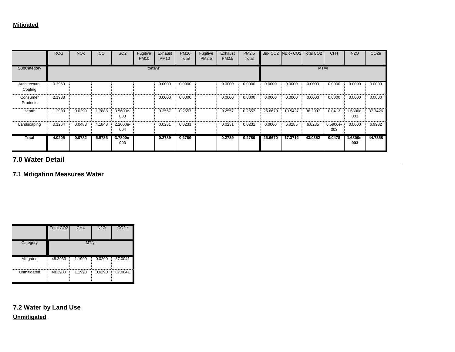| <b>Total</b>             | 4.0205     | 0.0782                | 5.9736 | 3.7800e-<br>003 |                         | 0.2789                 | 0.2789               |                   | 0.2789           | 0.2789                | 25.6670 | 17.3712             | 43.0382               | 0.0478          | 1.6800e-<br>003 | 44.7358          |
|--------------------------|------------|-----------------------|--------|-----------------|-------------------------|------------------------|----------------------|-------------------|------------------|-----------------------|---------|---------------------|-----------------------|-----------------|-----------------|------------------|
| Landscaping              | 0.1264     | 0.0483                | 4.1848 | 2.2000e-<br>004 |                         | 0.0231                 | 0.0231               |                   | 0.0231           | 0.0231                | 0.0000  | 6.8285              | 6.8285                | 6.5900e-<br>003 | 0.0000          | 6.9932           |
| Hearth                   | .2990      | 0.0299                | 1.7888 | 3.5600e-<br>003 |                         | 0.2557                 | 0.2557               |                   | 0.2557           | 0.2557                | 25.6670 | 10.5427             | 36.2097               | 0.0413          | .6800e-<br>003  | 37.7426          |
| Consumer<br>Products     | 2.1988     |                       |        |                 |                         | 0.0000                 | 0.0000               |                   | 0.0000           | 0.0000                | 0.0000  | 0.0000              | 0.0000                | 0.0000          | 0.0000          | 0.0000           |
| Architectural<br>Coating | 0.3963     |                       |        |                 |                         | 0.0000                 | 0.0000               |                   | 0.0000           | 0.0000                | 0.0000  | 0.0000              | 0.0000                | 0.0000          | 0.0000          | 0.0000           |
| SubCategory              |            |                       |        |                 | tons/yr                 |                        |                      |                   |                  |                       |         |                     | MT/yr                 |                 |                 |                  |
|                          | <b>ROG</b> | <b>NO<sub>x</sub></b> | CO     | SO <sub>2</sub> | Fugitive<br><b>PM10</b> | Exhaust<br><b>PM10</b> | <b>PM10</b><br>Total | Fugitive<br>PM2.5 | Exhaust<br>PM2.5 | <b>PM2.5</b><br>Total |         | Bio- CO2 INBio- CO2 | Total CO <sub>2</sub> | CH <sub>4</sub> | <b>N2O</b>      | CO <sub>2e</sub> |

# **7.0 Water Detail**

**7.1 Mitigation Measures Water**

|               | Total CO <sub>2</sub> | CH <sub>4</sub> | <b>N2O</b> | CO <sub>2e</sub> |
|---------------|-----------------------|-----------------|------------|------------------|
| Category      |                       | MT/yr           |            |                  |
| Mitigated<br> | I<br>48.3933          | 1.1990          | 0.0290     | 87.0041          |
| Unmitigated   | 48.3933               | 1.1990          | 0.0290     | 87.0041          |

**7.2 Water by Land Use Unmitigated**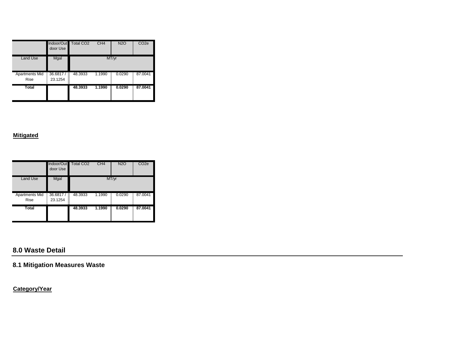|                                      | Indoor/Out Total CO2<br>door Use |         | CH4    | <b>N2O</b> | CO <sub>2</sub> e |
|--------------------------------------|----------------------------------|---------|--------|------------|-------------------|
| <b>Land Use</b>                      | Mgal                             |         |        | MT/yr      |                   |
| <b>Apartments Mid</b><br><b>Rise</b> | 36.6817/<br>B<br>23.1254         | 48.3933 | 1.1990 | 0.0290     | 87.0041           |
| Total                                |                                  | 48.3933 | 1.1990 | 0.0290     | 87.0041           |

#### **Mitigated**

|                               | Indoor/Out<br>door Use   | <b>Total CO2</b> | CH <sub>4</sub> | <b>N2O</b> | CO <sub>2e</sub> |
|-------------------------------|--------------------------|------------------|-----------------|------------|------------------|
| <b>Land Use</b>               | Mgal                     |                  |                 | MT/yr      |                  |
| Apartments Mid<br><b>Rise</b> | B<br>36.6817/<br>23.1254 | 48.3933          | 1.1990<br>Ξ     | 0.0290     | 87.0041          |
| Total                         |                          | 48.3933          | 1.1990          | 0.0290     | 87.0041          |

# **8.0 Waste Detail**

### **8.1 Mitigation Measures Waste**

**Category/Year**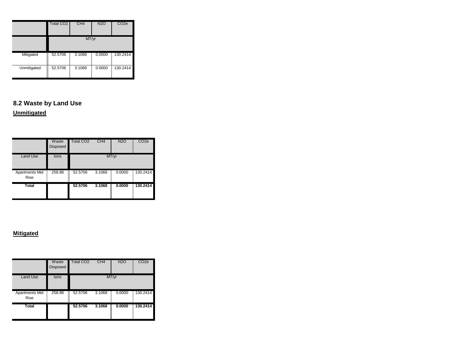|             | Total CO <sub>2</sub> | CH <sub>4</sub> | <b>N2O</b> | CO <sub>2e</sub> |  |  |
|-------------|-----------------------|-----------------|------------|------------------|--|--|
|             | MT/yr                 |                 |            |                  |  |  |
| Mitigated   | Ī<br>52.5706          | 3.1068          | 0.0000     | 130.2414         |  |  |
| Unmitigated | Ĭ<br>52.5706          | 3.1068          | 0.0000     | 130.2414         |  |  |

# **8.2 Waste by Land Use**

# **Unmitigated**

|                        | Waste<br><b>Disposed</b> | <b>Total CO2</b> | CH <sub>4</sub> | <b>N2O</b> | CO <sub>2e</sub> |
|------------------------|--------------------------|------------------|-----------------|------------|------------------|
| <b>Land Use</b>        | tons                     |                  |                 | MT/yr      |                  |
| Apartments Mid<br>Rise | =<br>=<br>=<br>258.98    | 52.5706          | 3.1068          | 0.0000     | 130.2414         |
| Total                  |                          | 52.5706          | 3.1068          | 0.0000     | 130.2414         |

#### **Mitigated**

|                               | Waste<br><b>Disposed</b> | <b>Total CO2</b> | CH4    | <b>N2O</b> | CO <sub>2e</sub> |
|-------------------------------|--------------------------|------------------|--------|------------|------------------|
| <b>Land Use</b>               | tons                     |                  |        | MT/yr      |                  |
| Apartments Mid<br><b>Rise</b> | 258.98                   | 52.5706<br>B     | 3.1068 | 0.0000     | 130.2414         |
| <b>Total</b>                  |                          | 52,5706          | 3.1068 | 0.0000     | 130.2414         |